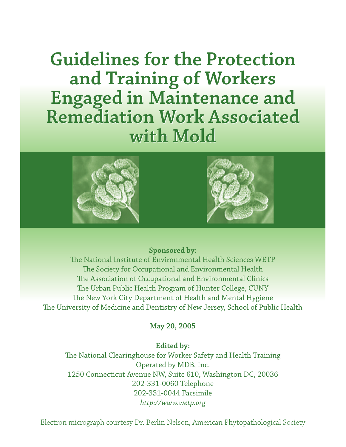**Guidelines for the Protection Guidelines for the Protection and Training of Workers and Training of Workers Engaged in Maintenance and Engaged in Maintenance and Remediation Work Associated Remediation Work Associated with Mold with Mold**





## **Sponsored by:**

The National Institute of Environmental Health Sciences WETP The Society for Occupational and Environmental Health The Association of Occupational and Environmental Clinics The Urban Public Health Program of Hunter College, CUNY The New York City Department of Health and Mental Hygiene The University of Medicine and Dentistry of New Jersey, School of Public Health

## **May 20, 2005**

### **Edited by:**

The National Clearinghouse for Worker Safety and Health Training Operated by MDB, Inc. 1250 Connecticut Avenue NW, Suite 610, Washington DC, 20036 202-331-0060 Telephone 202-331-0044 Facsimile *http://www.wetp.org*

Electron micrograph courtesy Dr. Berlin Nelson, American Phytopathological Society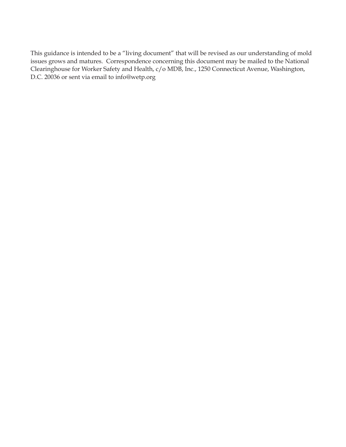This guidance is intended to be a "living document" that will be revised as our understanding of mold issues grows and matures. Correspondence concerning this document may be mailed to the National Clearinghouse for Worker Safety and Health, c/o MDB, Inc., 1250 Connecticut Avenue, Washington, D.C. 20036 or sent via email to info@wetp.org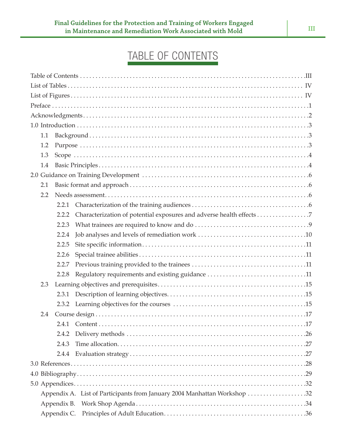# TABLE OF CONTENTS

| 1.1                                                                      |
|--------------------------------------------------------------------------|
| 1.2                                                                      |
| 1.3                                                                      |
| 1.4                                                                      |
|                                                                          |
| 2.1                                                                      |
| 2.2                                                                      |
| 2.2.1                                                                    |
| 2.2.2                                                                    |
| 2.2.3                                                                    |
| 2.2.4                                                                    |
| 2.2.5                                                                    |
| 2.2.6                                                                    |
| 2.2.7                                                                    |
| Regulatory requirements and existing guidance 11<br>2.2.8                |
| 2.3                                                                      |
| 2.3.1                                                                    |
|                                                                          |
| 2.4                                                                      |
|                                                                          |
| 2.4.2                                                                    |
| 2.4.3                                                                    |
| 2.4.4                                                                    |
|                                                                          |
|                                                                          |
|                                                                          |
| Appendix A. List of Participants from January 2004 Manhattan Workshop 32 |
|                                                                          |
|                                                                          |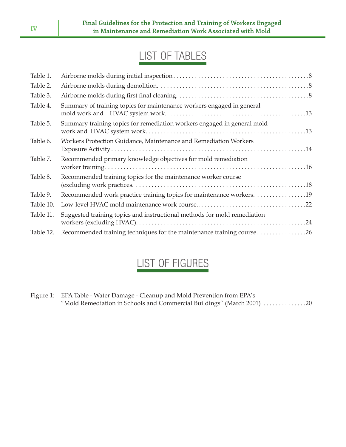# LIST OF TABLES

| Table 1.  |                                                                          |
|-----------|--------------------------------------------------------------------------|
| Table 2.  |                                                                          |
| Table 3.  |                                                                          |
| Table 4.  | Summary of training topics for maintenance workers engaged in general    |
| Table 5.  | Summary training topics for remediation workers engaged in general mold  |
| Table 6.  | Workers Protection Guidance, Maintenance and Remediation Workers         |
| Table 7.  | Recommended primary knowledge objectives for mold remediation            |
| Table 8.  | Recommended training topics for the maintenance worker course            |
| Table 9.  | Recommended work practice training topics for maintenance workers. 19    |
| Table 10. |                                                                          |
| Table 11. | Suggested training topics and instructional methods for mold remediation |
| Table 12. |                                                                          |

# LIST OF FIGURES

Figure 1: EPA Table - Water Damage - Cleanup and Mold Prevention from EPA's "Mold Remediation in Schools and Commercial Buildings" (March 2001) . . . . . . . . . . . . . .20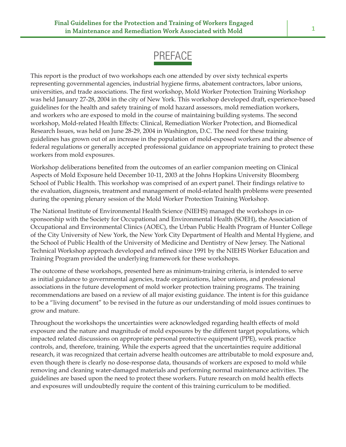# PREFACE

This report is the product of two workshops each one attended by over sixty technical experts representing governmental agencies, industrial hygiene firms, abatement contractors, labor unions, universities, and trade associations. The first workshop, Mold Worker Protection Training Workshop was held January 27-28, 2004 in the city of New York. This workshop developed draft, experience-based guidelines for the health and safety training of mold hazard assessors, mold remediation workers, and workers who are exposed to mold in the course of maintaining building systems. The second workshop, Mold-related Health Effects: Clinical, Remediation Worker Protection, and Biomedical Research Issues, was held on June 28-29, 2004 in Washington, D.C. The need for these training guidelines has grown out of an increase in the population of mold-exposed workers and the absence of federal regulations or generally accepted professional guidance on appropriate training to protect these workers from mold exposures.

Workshop deliberations benefited from the outcomes of an earlier companion meeting on Clinical Aspects of Mold Exposure held December 10-11, 2003 at the Johns Hopkins University Bloomberg School of Public Health. This workshop was comprised of an expert panel. Their findings relative to the evaluation, diagnosis, treatment and management of mold-related health problems were presented during the opening plenary session of the Mold Worker Protection Training Workshop.

The National Institute of Environmental Health Science (NIEHS) managed the workshops in cosponsorship with the Society for Occupational and Environmental Health (SOEH), the Association of Occupational and Environmental Clinics (AOEC), the Urban Public Health Program of Hunter College of the City University of New York, the New York City Department of Health and Mental Hygiene, and the School of Public Health of the University of Medicine and Dentistry of New Jersey. The National Technical Workshop approach developed and refined since 1991 by the NIEHS Worker Education and Training Program provided the underlying framework for these workshops.

The outcome of these workshops, presented here as minimum-training criteria, is intended to serve as initial guidance to governmental agencies, trade organizations, labor unions, and professional associations in the future development of mold worker protection training programs. The training recommendations are based on a review of all major existing guidance. The intent is for this guidance to be a "living document" to be revised in the future as our understanding of mold issues continues to grow and mature.

Throughout the workshops the uncertainties were acknowledged regarding health effects of mold exposure and the nature and magnitude of mold exposures by the different target populations, which impacted related discussions on appropriate personal protective equipment (PPE), work practice controls, and, therefore, training. While the experts agreed that the uncertainties require additional research, it was recognized that certain adverse health outcomes are attributable to mold exposure and, even though there is clearly no dose-response data, thousands of workers are exposed to mold while removing and cleaning water-damaged materials and performing normal maintenance activities. The guidelines are based upon the need to protect these workers. Future research on mold health effects and exposures will undoubtedly require the content of this training curriculum to be modified.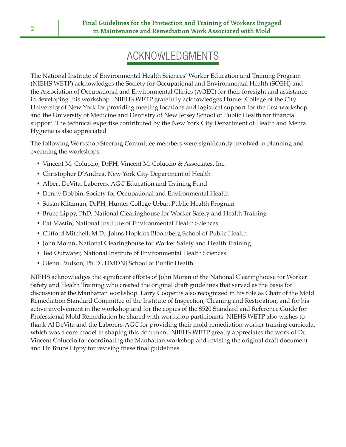# ACKNOWLEDGMENTS

The National Institute of Environmental Health Sciences' Worker Education and Training Program (NIEHS WETP) acknowledges the Society for Occupational and Environmental Health (SOEH) and the Association of Occupational and Environmental Clinics (AOEC) for their foresight and assistance in developing this workshop. NIEHS WETP gratefully acknowledges Hunter College of the City University of New York for providing meeting locations and logistical support for the first workshop and the University of Medicine and Dentistry of New Jersey School of Public Health for financial support. The technical expertise contributed by the New York City Department of Health and Mental Hygiene is also appreciated

The following Workshop Steering Committee members were significantly involved in planning and executing the workshops:

- Vincent M. Coluccio, DrPH, Vincent M. Coluccio & Associates, Inc.
- Christopher D'Andrea, New York City Department of Health
- Albert DeVita, Laborers, AGC Education and Training Fund
- Denny Dobbin, Society for Occupational and Environmental Health
- Susan Klitzman, DrPH, Hunter College Urban Public Health Program
- Bruce Lippy, PhD, National Clearinghouse for Worker Safety and Health Training
- Pat Mastin, National Institute of Environmental Health Sciences
- Clifford Mitchell, M.D., Johns Hopkins Bloomberg School of Public Health
- John Moran, National Clearinghouse for Worker Safety and Health Training
- Ted Outwater, National Institute of Environmental Health Sciences
- Glenn Paulson, Ph.D., UMDNJ School of Public Health

NIEHS acknowledges the significant efforts of John Moran of the National Clearinghouse for Worker Safety and Health Training who created the original draft guidelines that served as the basis for discussion at the Manhattan workshop. Larry Cooper is also recognized in his role as Chair of the Mold Remediation Standard Committee of the Institute of Inspection, Cleaning and Restoration, and for his active involvement in the workshop and for the copies of the S520 Standard and Reference Guide for Professional Mold Remediation he shared with workshop participants. NIEHS WETP also wishes to thank Al DeVita and the Laborers-AGC for providing their mold remediation worker training curricula, which was a core model in shaping this document. NIEHS WETP greatly appreciates the work of Dr. Vincent Coluccio for coordinating the Manhattan workshop and revising the original draft document and Dr. Bruce Lippy for revising these final guidelines.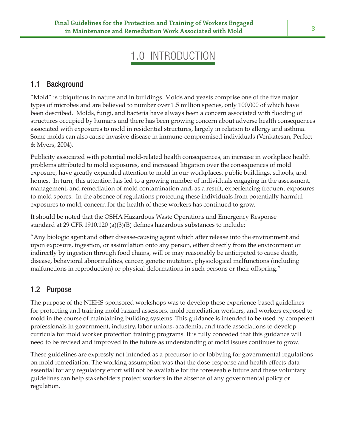# 1.0 INTRODUCTION

## 1.1 Background

"Mold" is ubiquitous in nature and in buildings. Molds and yeasts comprise one of the five major types of microbes and are believed to number over 1.5 million species, only 100,000 of which have been described. Molds, fungi, and bacteria have always been a concern associated with flooding of structures occupied by humans and there has been growing concern about adverse health consequences associated with exposures to mold in residential structures, largely in relation to allergy and asthma. Some molds can also cause invasive disease in immune-compromised individuals (Venkatesan, Perfect & Myers, 2004).

Publicity associated with potential mold-related health consequences, an increase in workplace health problems attributed to mold exposures, and increased litigation over the consequences of mold exposure, have greatly expanded attention to mold in our workplaces, public buildings, schools, and homes. In turn, this attention has led to a growing number of individuals engaging in the assessment, management, and remediation of mold contamination and, as a result, experiencing frequent exposures to mold spores. In the absence of regulations protecting these individuals from potentially harmful exposures to mold, concern for the health of these workers has continued to grow.

It should be noted that the OSHA Hazardous Waste Operations and Emergency Response standard at 29 CFR 1910.120 (a)(3)(B) defines hazardous substances to include:

"Any biologic agent and other disease-causing agent which after release into the environment and upon exposure, ingestion, or assimilation onto any person, either directly from the environment or indirectly by ingestion through food chains, will or may reasonably be anticipated to cause death, disease, behavioral abnormalities, cancer, genetic mutation, physiological malfunctions (including malfunctions in reproduction) or physical deformations in such persons or their offspring."

## 1.2 Purpose

The purpose of the NIEHS-sponsored workshops was to develop these experience-based guidelines for protecting and training mold hazard assessors, mold remediation workers, and workers exposed to mold in the course of maintaining building systems. This guidance is intended to be used by competent professionals in government, industry, labor unions, academia, and trade associations to develop curricula for mold worker protection training programs. It is fully conceded that this guidance will need to be revised and improved in the future as understanding of mold issues continues to grow.

These guidelines are expressly not intended as a precursor to or lobbying for governmental regulations on mold remediation. The working assumption was that the dose-response and health effects data essential for any regulatory effort will not be available for the foreseeable future and these voluntary guidelines can help stakeholders protect workers in the absence of any governmental policy or regulation.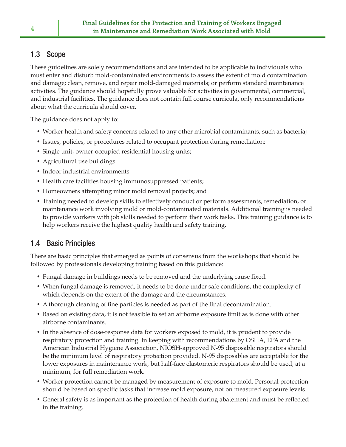## 1.3 Scope

These guidelines are solely recommendations and are intended to be applicable to individuals who must enter and disturb mold-contaminated environments to assess the extent of mold contamination and damage; clean, remove, and repair mold-damaged materials; or perform standard maintenance activities. The guidance should hopefully prove valuable for activities in governmental, commercial, and industrial facilities. The guidance does not contain full course curricula, only recommendations about what the curricula should cover.

The guidance does not apply to:

- Worker health and safety concerns related to any other microbial contaminants, such as bacteria;
- Issues, policies, or procedures related to occupant protection during remediation;
- Single unit, owner-occupied residential housing units;
- Agricultural use buildings
- Indoor industrial environments
- Health care facilities housing immunosuppressed patients;
- Homeowners attempting minor mold removal projects; and
- Training needed to develop skills to effectively conduct or perform assessments, remediation, or maintenance work involving mold or mold-contaminated materials. Additional training is needed to provide workers with job skills needed to perform their work tasks. This training guidance is to help workers receive the highest quality health and safety training.

## 1.4 Basic Principles

There are basic principles that emerged as points of consensus from the workshops that should be followed by professionals developing training based on this guidance:

- Fungal damage in buildings needs to be removed and the underlying cause fixed.
- When fungal damage is removed, it needs to be done under safe conditions, the complexity of which depends on the extent of the damage and the circumstances.
- A thorough cleaning of fine particles is needed as part of the final decontamination.
- Based on existing data, it is not feasible to set an airborne exposure limit as is done with other airborne contaminants.
- In the absence of dose-response data for workers exposed to mold, it is prudent to provide respiratory protection and training. In keeping with recommendations by OSHA, EPA and the American Industrial Hygiene Association, NIOSH-approved N-95 disposable respirators should be the minimum level of respiratory protection provided. N-95 disposables are acceptable for the lower exposures in maintenance work, but half-face elastomeric respirators should be used, at a minimum, for full remediation work.
- Worker protection cannot be managed by measurement of exposure to mold. Personal protection should be based on specific tasks that increase mold exposure, not on measured exposure levels.
- General safety is as important as the protection of health during abatement and must be reflected in the training.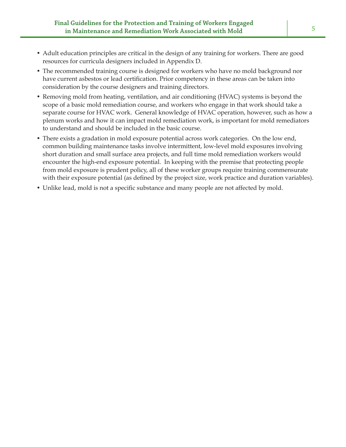- Adult education principles are critical in the design of any training for workers. There are good resources for curricula designers included in Appendix D.
- The recommended training course is designed for workers who have no mold background nor have current asbestos or lead certification. Prior competency in these areas can be taken into consideration by the course designers and training directors.
- Removing mold from heating, ventilation, and air conditioning (HVAC) systems is beyond the scope of a basic mold remediation course, and workers who engage in that work should take a separate course for HVAC work. General knowledge of HVAC operation, however, such as how a plenum works and how it can impact mold remediation work, is important for mold remediators to understand and should be included in the basic course.
- There exists a gradation in mold exposure potential across work categories. On the low end, common building maintenance tasks involve intermittent, low-level mold exposures involving short duration and small surface area projects, and full time mold remediation workers would encounter the high-end exposure potential. In keeping with the premise that protecting people from mold exposure is prudent policy, all of these worker groups require training commensurate with their exposure potential (as defined by the project size, work practice and duration variables).
- Unlike lead, mold is not a specific substance and many people are not affected by mold.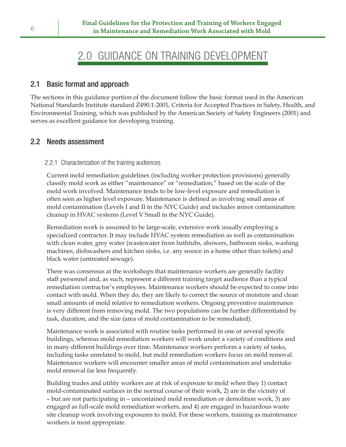## 2.0 GUIDANCE ON TRAINING DEVELOPMENT

## 2.1 Basic format and approach

The sections in this guidance portion of the document follow the basic format used in the American National Standards Institute standard Z490.1-2001, Criteria for Accepted Practices in Safety, Health, and Environmental Training, which was published by the American Society of Safety Engineers (2001) and serves as excellent guidance for developing training.

## 2.2 Needs assessment

## 2.2.1 Characterization of the training audiences

Current mold remediation guidelines (including worker protection provisions) generally classify mold work as either "maintenance" or "remediation," based on the scale of the mold work involved. Maintenance tends to be low-level exposure and remediation is often seen as higher level exposure. Maintenance is defined as involving small areas of mold contamination (Levels I and II in the NYC Guide) and includes minor contamination cleanup in HVAC systems (Level V Small in the NYC Guide).

Remediation work is assumed to be large-scale, extensive work usually employing a specialized contractor. It may include HVAC system remediation as well as contamination with clean water, grey water (wastewater from bathtubs, showers, bathroom sinks, washing machines, dishwashers and kitchen sinks, i.e. any source in a home other than toilets) and black water (untreated sewage).

There was consensus at the workshops that maintenance workers are generally facility staff personnel and, as such, represent a different training target audience than a typical remediation contractor's employees. Maintenance workers should be expected to come into contact with mold. When they do, they are likely to correct the source of moisture and clean small amounts of mold relative to remediation workers. Ongoing preventive maintenance is very different from removing mold. The two populations can be further differentiated by task, duration, and the size (area of mold contamination to be remediated).

Maintenance work is associated with routine tasks performed in one or several specific buildings, whereas mold remediation workers will work under a variety of conditions and in many different buildings over time. Maintenance workers perform a variety of tasks, including tasks unrelated to mold, but mold remediation workers focus on mold removal. Maintenance workers will encounter smaller areas of mold contamination and undertake mold removal far less frequently.

Building trades and utility workers are at risk of exposure to mold when they 1) contact mold-contaminated surfaces in the normal course of their work, 2) are in the vicinity of – but are not participating in – uncontained mold remediation or demolition work, 3) are engaged as full-scale mold remediation workers, and 4) are engaged in hazardous waste site cleanup work involving exposures to mold. For these workers, training as maintenance workers is most appropriate.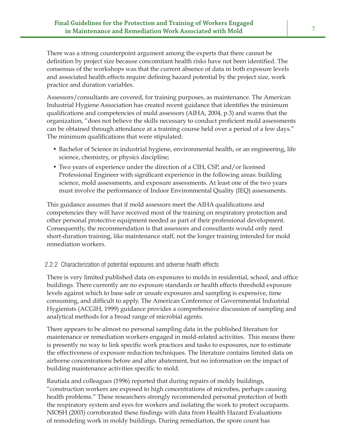There was a strong counterpoint argument among the experts that there cannot be definition by project size because concomitant health risks have not been identified. The consensus of the workshops was that the current absence of data in both exposure levels and associated health effects require defining hazard potential by the project size, work practice and duration variables.

Assessors/consultants are covered, for training purposes, as maintenance. The American Industrial Hygiene Association has created recent guidance that identifies the minimum qualifications and competencies of mold assessors (AIHA,  $2004$ , p.3) and warns that the organization, "does not believe the skills necessary to conduct proficient mold assessments can be obtained through attendance at a training course held over a period of a few days." The minimum qualifications that were stipulated:

- Bachelor of Science in industrial hygiene, environmental health, or an engineering, life science, chemistry, or physics discipline;
- Two years of experience under the direction of a CIH, CSP, and/or licensed Professional Engineer with significant experience in the following areas: building science, mold assessments, and exposure assessments. At least one of the two years must involve the performance of Indoor Environmental Quality (IEQ) assessments.

This guidance assumes that if mold assessors meet the AIHA qualifications and competencies they will have received most of the training on respiratory protection and other personal protective equipment needed as part of their professional development. Consequently, the recommendation is that assessors and consultants would only need short-duration training, like maintenance staff, not the longer training intended for mold remediation workers.

## 2.2.2 Characterization of potential exposures and adverse health effects

There is very limited published data on exposures to molds in residential, school, and office buildings. There currently are no exposure standards or health effects threshold exposure levels against which to base safe or unsafe exposures and sampling is expensive, time consuming, and difficult to apply. The American Conference of Governmental Industrial Hygienists (ACGIH, 1999) guidance provides a comprehensive discussion of sampling and analytical methods for a broad range of microbial agents.

There appears to be almost no personal sampling data in the published literature for maintenance or remediation workers engaged in mold-related activities. This means there is presently no way to link specific work practices and tasks to exposures, nor to estimate the effectiveness of exposure reduction techniques. The literature contains limited data on airborne concentrations before and after abatement, but no information on the impact of building maintenance activities specific to mold.

Rautiala and colleagues (1996) reported that during repairs of moldy buildings, "construction workers are exposed to high concentrations of microbes, perhaps causing health problems." These researchers strongly recommended personal protection of both the respiratory system and eyes for workers and isolating the work to protect occupants. NIOSH (2003) corroborated these findings with data from Health Hazard Evaluations of remodeling work in moldy buildings. During remediation, the spore count has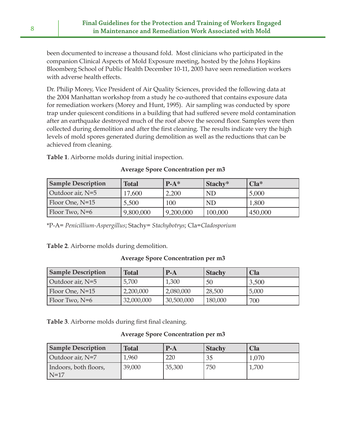been documented to increase a thousand fold. Most clinicians who participated in the companion Clinical Aspects of Mold Exposure meeting, hosted by the Johns Hopkins Bloomberg School of Public Health December 10-11, 2003 have seen remediation workers with adverse health effects.

Dr. Philip Morey, Vice President of Air Quality Sciences, provided the following data at the 2004 Manhattan workshop from a study he co-authored that contains exposure data for remediation workers (Morey and Hunt, 1995). Air sampling was conducted by spore trap under quiescent conditions in a building that had suffered severe mold contamination after an earthquake destroyed much of the roof above the second floor. Samples were then collected during demolition and after the first cleaning. The results indicate very the high levels of mold spores generated during demolition as well as the reductions that can be achieved from cleaning.

**Table 1**. Airborne molds during initial inspection.

| <b>Sample Description</b> | <b>Total</b> | $P-A^*$   | Stachy*   | $Cla^*$ |
|---------------------------|--------------|-----------|-----------|---------|
| Outdoor air, $N=5$        | 7,600        | 2,200     | <b>ND</b> | 5,000   |
| Floor One, N=15           | 5,500        | 100       | <b>ND</b> | 1,800   |
| Floor Two, $N=6$          | 9,800,000    | 9,200,000 | 100,000   | 450,000 |

## **Average Spore Concentration per m3**

\*P-A= *Penicillium-Aspergillus*; Stachy= *Stachybotrys*; Cla=*Cladosporium*

**Table 2**. Airborne molds during demolition.

## **Average Spore Concentration per m3**

| <b>Sample Description</b> | Total      | $P-A$      | <b>Stachy</b> | <b>Cla</b> |
|---------------------------|------------|------------|---------------|------------|
| Outdoor air, $N=5$        | 5,700      | 1,300      | 50            | 3,500      |
| Floor One, N=15           | 2,200,000  | 2,080,000  | 28,500        | 5,000      |
| Floor Two, $N=6$          | 32,000,000 | 30,500,000 | 180,000       | 700        |

**Table 3**. Airborne molds during first final cleaning.

## **Average Spore Concentration per m3**

| <b>Sample Description</b> | <b>Total</b> | $P-A$  | <b>Stachy</b> | <b>Cla</b> |
|---------------------------|--------------|--------|---------------|------------|
| Outdoor air, N=7          | 1,960        | 220    |               | 1,070      |
| Indoors, both floors,     | 39,000       | 35,300 | 750           | 1,700      |
| $N=17$                    |              |        |               |            |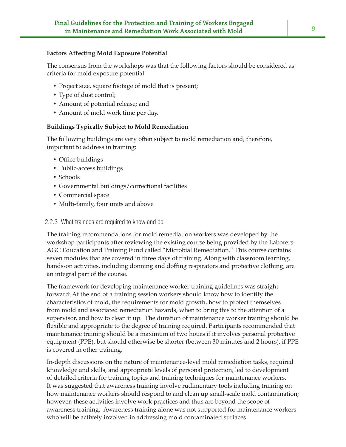#### **Factors Affecting Mold Exposure Potential**

The consensus from the workshops was that the following factors should be considered as criteria for mold exposure potential:

- Project size, square footage of mold that is present;
- Type of dust control;
- Amount of potential release; and
- Amount of mold work time per day.

### **Buildings Typically Subject to Mold Remediation**

The following buildings are very often subject to mold remediation and, therefore, important to address in training:

- Office buildings
- Public-access buildings
- Schools
- Governmental buildings/correctional facilities
- Commercial space
- Multi-family, four units and above

#### 2.2.3 What trainees are required to know and do

The training recommendations for mold remediation workers was developed by the workshop participants after reviewing the existing course being provided by the Laborers-AGC Education and Training Fund called "Microbial Remediation." This course contains seven modules that are covered in three days of training. Along with classroom learning, hands-on activities, including donning and doffing respirators and protective clothing, are an integral part of the course.

The framework for developing maintenance worker training guidelines was straight forward: At the end of a training session workers should know how to identify the characteristics of mold, the requirements for mold growth, how to protect themselves from mold and associated remediation hazards, when to bring this to the attention of a supervisor, and how to clean it up. The duration of maintenance worker training should be flexible and appropriate to the degree of training required. Participants recommended that maintenance training should be a maximum of two hours if it involves personal protective equipment (PPE), but should otherwise be shorter (between 30 minutes and 2 hours), if PPE is covered in other training.

In-depth discussions on the nature of maintenance-level mold remediation tasks, required knowledge and skills, and appropriate levels of personal protection, led to development of detailed criteria for training topics and training techniques for maintenance workers. It was suggested that awareness training involve rudimentary tools including training on how maintenance workers should respond to and clean up small-scale mold contamination; however, these activities involve work practices and thus are beyond the scope of awareness training. Awareness training alone was not supported for maintenance workers who will be actively involved in addressing mold contaminated surfaces.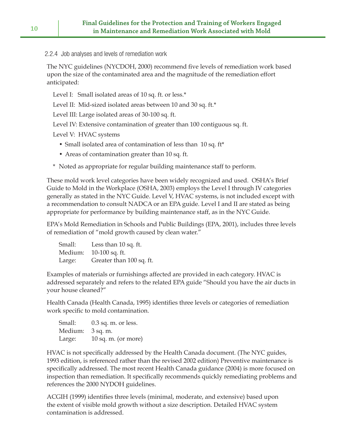2.2.4 Job analyses and levels of remediation work

The NYC guidelines (NYCDOH, 2000) recommend five levels of remediation work based upon the size of the contaminated area and the magnitude of the remediation effort anticipated:

Level I: Small isolated areas of 10 sq. ft. or less.\*

Level II: Mid-sized isolated areas between 10 and 30 sq. ft.\*

Level III: Large isolated areas of 30-100 sq. ft.

Level IV: Extensive contamination of greater than 100 contiguous sq. ft.

Level V: HVAC systems

- Small isolated area of contamination of less than 10 sq. ft\*
- Areas of contamination greater than 10 sq. ft.
- \* Noted as appropriate for regular building maintenance staff to perform.

These mold work level categories have been widely recognized and used. OSHA's Brief Guide to Mold in the Workplace (OSHA, 2003) employs the Level I through IV categories generally as stated in the NYC Guide. Level V, HVAC systems, is not included except with a recommendation to consult NADCA or an EPA guide. Level I and II are stated as being appropriate for performance by building maintenance staff, as in the NYC Guide.

EPA's Mold Remediation in Schools and Public Buildings (EPA, 2001), includes three levels of remediation of "mold growth caused by clean water."

| Small:  | Less than 10 sq. ft.     |
|---------|--------------------------|
| Medium: | 10-100 sq. ft.           |
| Large:  | Greater than 100 sq. ft. |

Examples of materials or furnishings affected are provided in each category. HVAC is addressed separately and refers to the related EPA guide "Should you have the air ducts in your house cleaned?"

Health Canada (Health Canada, 1995) identifies three levels or categories of remediation work specific to mold contamination.

Small: 0.3 sq. m. or less. Medium: 3 sq. m. Large: 10 sq. m. (or more)

HVAC is not specifically addressed by the Health Canada document. (The NYC guides, 1993 edition, is referenced rather than the revised 2002 edition) Preventive maintenance is specifically addressed. The most recent Health Canada guidance (2004) is more focused on inspection than remediation. It specifically recommends quickly remediating problems and references the 2000 NYDOH guidelines.

ACGIH (1999) identifies three levels (minimal, moderate, and extensive) based upon the extent of visible mold growth without a size description. Detailed HVAC system contamination is addressed.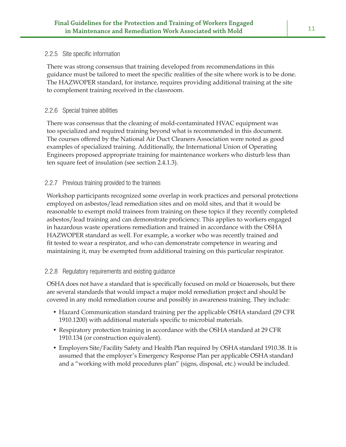#### 2.2.5 Site specific information

There was strong consensus that training developed from recommendations in this guidance must be tailored to meet the specific realities of the site where work is to be done. The HAZWOPER standard, for instance, requires providing additional training at the site to complement training received in the classroom.

#### 2.2.6 Special trainee abilities

There was consensus that the cleaning of mold-contaminated HVAC equipment was too specialized and required training beyond what is recommended in this document. The courses offered by the National Air Duct Cleaners Association were noted as good examples of specialized training. Additionally, the International Union of Operating Engineers proposed appropriate training for maintenance workers who disturb less than ten square feet of insulation (see section 2.4.1.3).

### 2.2.7 Previous training provided to the trainees

Workshop participants recognized some overlap in work practices and personal protections employed on asbestos/lead remediation sites and on mold sites, and that it would be reasonable to exempt mold trainees from training on these topics if they recently completed asbestos/lead training and can demonstrate proficiency. This applies to workers engaged in hazardous waste operations remediation and trained in accordance with the OSHA HAZWOPER standard as well. For example, a worker who was recently trained and fit tested to wear a respirator, and who can demonstrate competence in wearing and maintaining it, may be exempted from additional training on this particular respirator.

### 2.2.8 Regulatory requirements and existing guidance

OSHA does not have a standard that is specifically focused on mold or bioaerosols, but there are several standards that would impact a major mold remediation project and should be covered in any mold remediation course and possibly in awareness training. They include:

- Hazard Communication standard training per the applicable OSHA standard (29 CFR 1910.1200) with additional materials specific to microbial materials.
- Respiratory protection training in accordance with the OSHA standard at 29 CFR 1910.134 (or construction equivalent).
- Employers Site/Facility Safety and Health Plan required by OSHA standard 1910.38. It is assumed that the employer's Emergency Response Plan per applicable OSHA standard and a "working with mold procedures plan" (signs, disposal, etc.) would be included.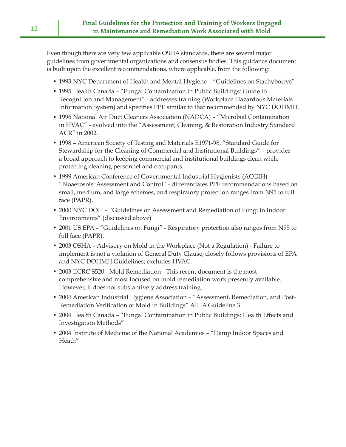Even though there are very few applicable OSHA standards, there are several major guidelines from governmental organizations and consensus bodies. This guidance document is built upon the excellent recommendations, where applicable, from the following:

- 1993 NYC Department of Health and Mental Hygiene "Guidelines on Stachybotrys"
- 1995 Health Canada "Fungal Contamination in Public Buildings: Guide to Recognition and Management" - addresses training (Workplace Hazardous Materials Information System) and specifies PPE similar to that recommended by NYC DOHMH.
- 1996 National Air Duct Cleaners Association (NADCA) "Microbial Contamination in HVAC" - evolved into the "Assessment, Cleaning, & Restoration Industry Standard ACR" in 2002.
- 1998 American Society of Testing and Materials E1971-98, "Standard Guide for Stewardship for the Cleaning of Commercial and Institutional Buildings" – provides a broad approach to keeping commercial and institutional buildings clean while protecting cleaning personnel and occupants.
- 1999 American Conference of Governmental Industrial Hygienists (ACGIH) "Bioaerosols: Assessment and Control" - differentiates PPE recommendations based on small, medium, and large schemes, and respiratory protection ranges from N95 to full face (PAPR).
- 2000 NYC DOH "Guidelines on Assessment and Remediation of Fungi in Indoor Environments" (discussed above)
- 2001 US EPA "Guidelines on Fungi" Respiratory protection also ranges from N95 to full face (PAPR).
- 2003 OSHA Advisory on Mold in the Workplace (Not a Regulation) Failure to implement is not a violation of General Duty Clause; closely follows provisions of EPA and NYC DOHMH Guidelines; excludes HVAC.
- 2003 IICRC S520 Mold Remediation This recent document is the most comprehensive and most focused on mold remediation work presently available. However, it does not substantively address training.
- 2004 American Industrial Hygiene Association "Assessment, Remediation, and Post-Remediation Verification of Mold in Buildings" AIHA Guideline 3.
- 2004 Health Canada "Fungal Contamination in Public Buildings: Health Effects and Investigation Methods"
- 2004 Institute of Medicine of the National Academies "Damp Indoor Spaces and Heath"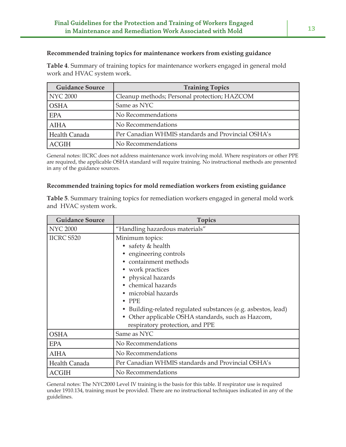#### **Recommended training topics for maintenance workers from existing guidance**

**Table 4**. Summary of training topics for maintenance workers engaged in general mold work and HVAC system work.

| <b>Guidance Source</b> | <b>Training Topics</b>                             |
|------------------------|----------------------------------------------------|
| NYC 2000               | Cleanup methods; Personal protection; HAZCOM       |
| <b>OSHA</b>            | Same as NYC                                        |
| <b>EPA</b>             | No Recommendations                                 |
| <b>AIHA</b>            | No Recommendations                                 |
| Health Canada          | Per Canadian WHMIS standards and Provincial OSHA's |
| <b>ACGIH</b>           | No Recommendations                                 |

General notes: IICRC does not address maintenance work involving mold. Where respirators or other PPE are required, the applicable OSHA standard will require training. No instructional methods are presented in any of the guidance sources.

#### **Recommended training topics for mold remediation workers from existing guidance**

**Table 5**. Summary training topics for remediation workers engaged in general mold work and HVAC system work.

| <b>Guidance Source</b> | <b>Topics</b>                                                                                                                                                                                                                                                                                                   |  |  |
|------------------------|-----------------------------------------------------------------------------------------------------------------------------------------------------------------------------------------------------------------------------------------------------------------------------------------------------------------|--|--|
| <b>NYC 2000</b>        | "Handling hazardous materials"                                                                                                                                                                                                                                                                                  |  |  |
| <b>IICRC S520</b>      | Minimum topics:<br>• safety & health<br>• engineering controls<br>containment methods<br>• work practices<br>• physical hazards<br>• chemical hazards<br>• microbial hazards<br><b>PPE</b><br>Building-related regulated substances (e.g. asbestos, lead)<br>• Other applicable OSHA standards, such as Hazcom, |  |  |
| <b>OSHA</b>            | respiratory protection, and PPE<br>Same as NYC                                                                                                                                                                                                                                                                  |  |  |
| <b>EPA</b>             | No Recommendations                                                                                                                                                                                                                                                                                              |  |  |
| <b>AIHA</b>            | No Recommendations                                                                                                                                                                                                                                                                                              |  |  |
| Health Canada          | Per Canadian WHMIS standards and Provincial OSHA's                                                                                                                                                                                                                                                              |  |  |
| <b>ACGIH</b>           | No Recommendations                                                                                                                                                                                                                                                                                              |  |  |

General notes: The NYC2000 Level IV training is the basis for this table. If respirator use is required under 1910.134, training must be provided. There are no instructional techniques indicated in any of the guidelines.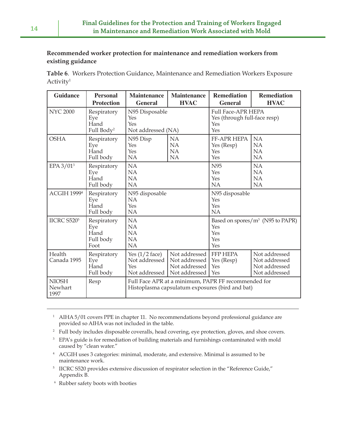### **Recommended worker protection for maintenance and remediation workers from existing guidance**

**Table 6**. Workers Protection Guidance, Maintenance and Remediation Workers Exposure Activity1

| <b>Guidance</b>                 | <b>Personal</b><br><b>Protection</b>                 | <b>Maintenance</b><br><b>General</b>                                                                   | <b>Maintenance</b><br><b>HVAC</b>                                | <b>Remediation</b><br><b>General</b>                                    | <b>Remediation</b><br><b>HVAC</b>                                |
|---------------------------------|------------------------------------------------------|--------------------------------------------------------------------------------------------------------|------------------------------------------------------------------|-------------------------------------------------------------------------|------------------------------------------------------------------|
| <b>NYC 2000</b>                 | Respiratory<br>Eye<br>Hand<br>Full Body <sup>2</sup> | N95 Disposable<br>Yes<br>Yes<br>Not addressed (NA)                                                     |                                                                  | <b>Full Face-APR HEPA</b><br>Yes (through full-face resp)<br>Yes<br>Yes |                                                                  |
| <b>OSHA</b>                     | Respiratory<br>Eye<br>Hand<br>Full body              | N95 Disp<br>Yes<br>Yes<br>NA                                                                           | NA<br>NA<br>NA<br>NA                                             | FF-APR HEPA<br>Yes (Resp)<br>Yes<br>Yes                                 | NA<br>NA<br><b>NA</b><br>NA                                      |
| EPA $3/01$ <sup>3</sup>         | Respiratory<br>Eye<br>Hand<br>Full body              | NA<br>NA<br>NA<br>NA                                                                                   |                                                                  | N95<br>Yes<br>Yes<br><b>NA</b>                                          | NA<br>NA<br><b>NA</b><br>NA                                      |
| ACGIH 1999 <sup>4</sup>         | Respiratory<br>Eye<br>Hand<br>Full body              | N95 disposable<br>NA<br>Yes<br>NA                                                                      |                                                                  | N95 disposable<br>Yes<br>Yes<br>NA                                      |                                                                  |
| IICRC S520 <sup>5</sup>         | Respiratory<br>Eye<br>Hand<br>Full body<br>Foot      | NA<br>NA<br>NA<br>NA<br>NA                                                                             |                                                                  | Yes<br>Yes<br>Yes<br>Yes                                                | Based on spores/m <sup>3</sup> (N95 to PAPR)                     |
| Health<br>Canada 1995           | Respiratory<br>Eye<br>Hand<br>Full body              | Yes $(1/2$ face)<br>Not addressed<br>Yes<br>Not addressed                                              | Not addressed<br>Not addressed<br>Not addressed<br>Not addressed | <b>FFP HEPA</b><br>Yes (Resp)<br>Yes<br>Yes                             | Not addressed<br>Not addressed<br>Not addressed<br>Not addressed |
| <b>NIOSH</b><br>Newhart<br>1997 | Resp                                                 | Full Face APR at a minimum, PAPR FF recommended for<br>Histoplasma capsulatum exposures (bird and bat) |                                                                  |                                                                         |                                                                  |

- <sup>1</sup> AIHA 5/01 covers PPE in chapter 11. No recommendations beyond professional guidance are provided so AIHA was not included in the table.
- <sup>2</sup> Full body includes disposable coveralls, head covering, eye protection, gloves, and shoe covers.
- <sup>3</sup> EPA's guide is for remediation of building materials and furnishings contaminated with mold caused by "clean water."
- <sup>4</sup> ACGIH uses 3 categories: minimal, moderate, and extensive. Minimal is assumed to be maintenance work.
- <sup>5</sup> IICRC S520 provides extensive discussion of respirator selection in the "Reference Guide," Appendix B.
- <sup>6</sup> Rubber safety boots with booties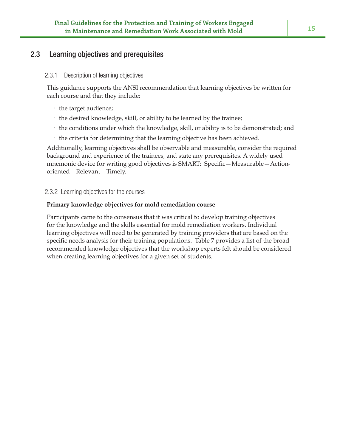## 2.3 Learning objectives and prerequisites

#### 2.3.1 Description of learning objectives

This guidance supports the ANSI recommendation that learning objectives be written for each course and that they include:

- · the target audience;
- · the desired knowledge, skill, or ability to be learned by the trainee;
- · the conditions under which the knowledge, skill, or ability is to be demonstrated; and
- · the criteria for determining that the learning objective has been achieved.

Additionally, learning objectives shall be observable and measurable, consider the required background and experience of the trainees, and state any prerequisites. A widely used mnemonic device for writing good objectives is SMART: Specific-Measurable-Actionoriented - Relevant - Timely.

2.3.2 Learning objectives for the courses

#### **Primary knowledge objectives for mold remediation course**

Participants came to the consensus that it was critical to develop training objectives for the knowledge and the skills essential for mold remediation workers. Individual learning objectives will need to be generated by training providers that are based on the specific needs analysis for their training populations. Table 7 provides a list of the broad recommended knowledge objectives that the workshop experts felt should be considered when creating learning objectives for a given set of students.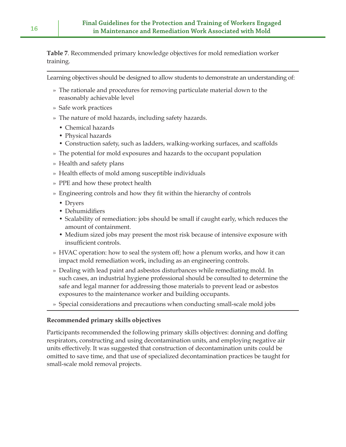**Table 7**. Recommended primary knowledge objectives for mold remediation worker training.

Learning objectives should be designed to allow students to demonstrate an understanding of:

- » The rationale and procedures for removing particulate material down to the reasonably achievable level
- » Safe work practices
- » The nature of mold hazards, including safety hazards.
	- Chemical hazards
	- Physical hazards
	- Construction safety, such as ladders, walking-working surfaces, and scaffolds
- » The potential for mold exposures and hazards to the occupant population
- » Health and safety plans
- » Health effects of mold among susceptible individuals
- » PPE and how these protect health
- » Engineering controls and how they fit within the hierarchy of controls
	- Dryers
	- Dehumidifiers
	- Scalability of remediation: jobs should be small if caught early, which reduces the amount of containment.
	- Medium sized jobs may present the most risk because of intensive exposure with insufficient controls.
- » HVAC operation: how to seal the system off; how a plenum works, and how it can impact mold remediation work, including as an engineering controls.
- » Dealing with lead paint and asbestos disturbances while remediating mold. In such cases, an industrial hygiene professional should be consulted to determine the safe and legal manner for addressing those materials to prevent lead or asbestos exposures to the maintenance worker and building occupants.
- » Special considerations and precautions when conducting small-scale mold jobs

## **Recommended primary skills objectives**

Participants recommended the following primary skills objectives: donning and doffing respirators, constructing and using decontamination units, and employing negative air units effectively. It was suggested that construction of decontamination units could be omitted to save time, and that use of specialized decontamination practices be taught for small-scale mold removal projects.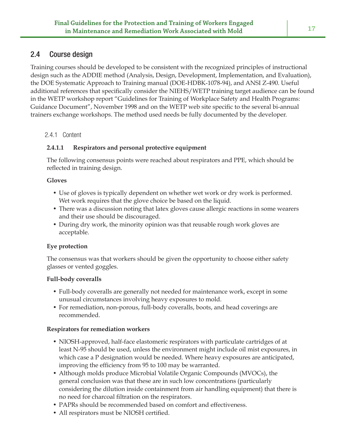## 2.4 Course design

Training courses should be developed to be consistent with the recognized principles of instructional design such as the ADDIE method (Analysis, Design, Development, Implementation, and Evaluation), the DOE Systematic Approach to Training manual (DOE-HDBK-1078-94), and ANSI Z-490. Useful additional references that specifically consider the NIEHS/WETP training target audience can be found in the WETP workshop report "Guidelines for Training of Workplace Safety and Health Programs: Guidance Document", November 1998 and on the WETP web site specific to the several bi-annual trainers exchange workshops. The method used needs be fully documented by the developer.

## 2.4.1 Content

## **2.4.1.1 Respirators and personal protective equipment**

The following consensus points were reached about respirators and PPE, which should be reflected in training design.

### **Gloves**

- Use of gloves is typically dependent on whether wet work or dry work is performed. Wet work requires that the glove choice be based on the liquid.
- There was a discussion noting that latex gloves cause allergic reactions in some wearers and their use should be discouraged.
- During dry work, the minority opinion was that reusable rough work gloves are acceptable.

## **Eye protection**

The consensus was that workers should be given the opportunity to choose either safety glasses or vented goggles.

## **Full-body coveralls**

- Full-body coveralls are generally not needed for maintenance work, except in some unusual circumstances involving heavy exposures to mold.
- For remediation, non-porous, full-body coveralls, boots, and head coverings are recommended.

## **Respirators for remediation workers**

- NIOSH-approved, half-face elastomeric respirators with particulate cartridges of at least N-95 should be used, unless the environment might include oil mist exposures, in which case a P designation would be needed. Where heavy exposures are anticipated, improving the efficiency from 95 to 100 may be warranted.
- Although molds produce Microbial Volatile Organic Compounds (MVOCs), the general conclusion was that these are in such low concentrations (particularly considering the dilution inside containment from air handling equipment) that there is no need for charcoal filtration on the respirators.
- PAPRs should be recommended based on comfort and effectiveness.
- All respirators must be NIOSH certified.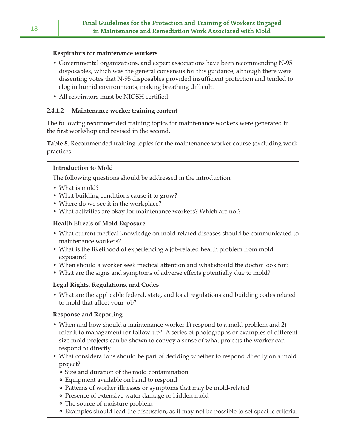#### **Respirators for maintenance workers**

- Governmental organizations, and expert associations have been recommending N-95 disposables, which was the general consensus for this guidance, although there were dissenting votes that N-95 disposables provided insufficient protection and tended to clog in humid environments, making breathing difficult.
- All respirators must be NIOSH certified

### **2.4.1.2 Maintenance worker training content**

The following recommended training topics for maintenance workers were generated in the first workshop and revised in the second.

**Table 8**. Recommended training topics for the maintenance worker course (excluding work practices.

### **Introduction to Mold**

The following questions should be addressed in the introduction:

- What is mold?
- What building conditions cause it to grow?
- Where do we see it in the workplace?
- What activities are okay for maintenance workers? Which are not?

### **Health Effects of Mold Exposure**

- What current medical knowledge on mold-related diseases should be communicated to maintenance workers?
- What is the likelihood of experiencing a job-related health problem from mold exposure?
- When should a worker seek medical attention and what should the doctor look for?
- What are the signs and symptoms of adverse effects potentially due to mold?

## **Legal Rights, Regulations, and Codes**

• What are the applicable federal, state, and local regulations and building codes related to mold that affect your job?

## **Response and Reporting**

- When and how should a maintenance worker 1) respond to a mold problem and 2) refer it to management for follow-up? A series of photographs or examples of different size mold projects can be shown to convey a sense of what projects the worker can respond to directly.
- What considerations should be part of deciding whether to respond directly on a mold project?
	- Size and duration of the mold contamination
	- Equipment available on hand to respond
	- Patterns of worker illnesses or symptoms that may be mold-related
	- Presence of extensive water damage or hidden mold
	- The source of moisture problem
	- Examples should lead the discussion, as it may not be possible to set specific criteria.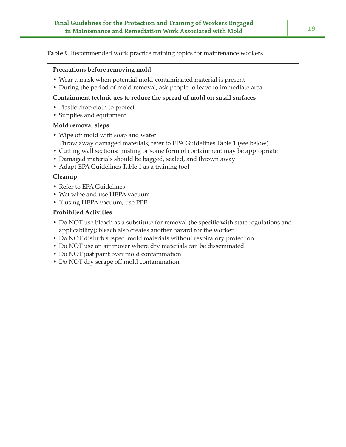**Table 9**. Recommended work practice training topics for maintenance workers.

#### **Precautions before removing mold**

- Wear a mask when potential mold-contaminated material is present
- During the period of mold removal, ask people to leave to immediate area

### **Containment techniques to reduce the spread of mold on small surfaces**

- Plastic drop cloth to protect
- Supplies and equipment

### **Mold removal steps**

- Wipe off mold with soap and water
	- Throw away damaged materials; refer to EPA Guidelines Table 1 (see below)
- Cutting wall sections: misting or some form of containment may be appropriate
- Damaged materials should be bagged, sealed, and thrown away
- Adapt EPA Guidelines Table 1 as a training tool

### **Cleanup**

- Refer to EPA Guidelines
- Wet wipe and use HEPA vacuum
- If using HEPA vacuum, use PPE

### **Prohibited Activities**

- Do NOT use bleach as a substitute for removal (be specific with state regulations and applicability); bleach also creates another hazard for the worker
- Do NOT disturb suspect mold materials without respiratory protection
- Do NOT use an air mover where dry materials can be disseminated
- Do NOT just paint over mold contamination
- Do NOT dry scrape off mold contamination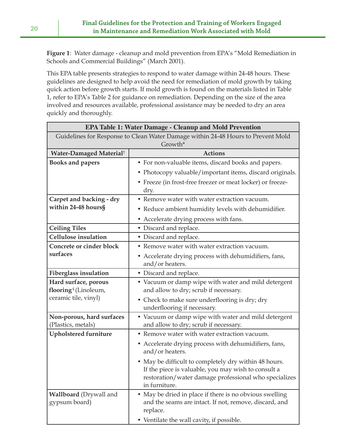**Figure 1**: Water damage - cleanup and mold prevention from EPA's "Mold Remediation in Schools and Commercial Buildings" (March 2001).

This EPA table presents strategies to respond to water damage within 24-48 hours. These guidelines are designed to help avoid the need for remediation of mold growth by taking quick action before growth starts. If mold growth is found on the materials listed in Table 1, refer to EPA's Table 2 for guidance on remediation. Depending on the size of the area involved and resources available, professional assistance may be needed to dry an area quickly and thoroughly.

| <b>EPA Table 1: Water Damage - Cleanup and Mold Prevention</b>                   |                                                                                                                                                                                        |  |  |  |
|----------------------------------------------------------------------------------|----------------------------------------------------------------------------------------------------------------------------------------------------------------------------------------|--|--|--|
| Guidelines for Response to Clean Water Damage within 24-48 Hours to Prevent Mold |                                                                                                                                                                                        |  |  |  |
| Growth*                                                                          |                                                                                                                                                                                        |  |  |  |
| Water-Damaged Material <sup>†</sup>                                              | <b>Actions</b>                                                                                                                                                                         |  |  |  |
| <b>Books and papers</b>                                                          | • For non-valuable items, discard books and papers.                                                                                                                                    |  |  |  |
|                                                                                  | • Photocopy valuable/important items, discard originals.                                                                                                                               |  |  |  |
|                                                                                  | • Freeze (in frost-free freezer or meat locker) or freeze-                                                                                                                             |  |  |  |
|                                                                                  | dry.                                                                                                                                                                                   |  |  |  |
| Carpet and backing - dry                                                         | • Remove water with water extraction vacuum.                                                                                                                                           |  |  |  |
| within 24-48 hours§                                                              | • Reduce ambient humidity levels with dehumidifier.                                                                                                                                    |  |  |  |
|                                                                                  | • Accelerate drying process with fans.                                                                                                                                                 |  |  |  |
| <b>Ceiling Tiles</b>                                                             | • Discard and replace.                                                                                                                                                                 |  |  |  |
| Cellulose insulation                                                             | • Discard and replace.                                                                                                                                                                 |  |  |  |
| <b>Concrete or cinder block</b>                                                  | • Remove water with water extraction vacuum.                                                                                                                                           |  |  |  |
| surfaces                                                                         | • Accelerate drying process with dehumidifiers, fans,                                                                                                                                  |  |  |  |
|                                                                                  | and/or heaters.                                                                                                                                                                        |  |  |  |
| <b>Fiberglass insulation</b>                                                     | • Discard and replace.                                                                                                                                                                 |  |  |  |
| Hard surface, porous                                                             | • Vacuum or damp wipe with water and mild detergent                                                                                                                                    |  |  |  |
| flooring <sup>§</sup> (Linoleum,                                                 | and allow to dry; scrub if necessary.                                                                                                                                                  |  |  |  |
| ceramic tile, vinyl)                                                             | • Check to make sure underflooring is dry; dry<br>underflooring if necessary.                                                                                                          |  |  |  |
| Non-porous, hard surfaces                                                        | • Vacuum or damp wipe with water and mild detergent                                                                                                                                    |  |  |  |
| (Plastics, metals)                                                               | and allow to dry; scrub if necessary.                                                                                                                                                  |  |  |  |
| <b>Upholstered furniture</b>                                                     | • Remove water with water extraction vacuum.                                                                                                                                           |  |  |  |
|                                                                                  | • Accelerate drying process with dehumidifiers, fans,<br>and/or heaters.                                                                                                               |  |  |  |
|                                                                                  | • May be difficult to completely dry within 48 hours.<br>If the piece is valuable, you may wish to consult a<br>restoration/water damage professional who specializes<br>in furniture. |  |  |  |
| <b>Wallboard</b> (Drywall and<br>gypsum board)                                   | • May be dried in place if there is no obvious swelling<br>and the seams are intact. If not, remove, discard, and<br>replace.<br>• Ventilate the wall cavity, if possible.             |  |  |  |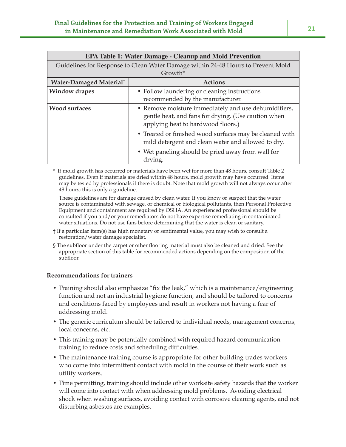| <b>EPA Table 1: Water Damage - Cleanup and Mold Prevention</b> |                                                                                                                                                   |  |  |
|----------------------------------------------------------------|---------------------------------------------------------------------------------------------------------------------------------------------------|--|--|
|                                                                | Guidelines for Response to Clean Water Damage within 24-48 Hours to Prevent Mold                                                                  |  |  |
|                                                                | Growth*                                                                                                                                           |  |  |
| Water-Damaged Material <sup>†</sup>                            | <b>Actions</b>                                                                                                                                    |  |  |
| <b>Window drapes</b>                                           | • Follow laundering or cleaning instructions                                                                                                      |  |  |
|                                                                | recommended by the manufacturer.                                                                                                                  |  |  |
| <b>Wood surfaces</b>                                           | • Remove moisture immediately and use dehumidifiers,<br>gentle heat, and fans for drying. (Use caution when<br>applying heat to hardwood floors.) |  |  |
|                                                                | • Treated or finished wood surfaces may be cleaned with<br>mild detergent and clean water and allowed to dry.                                     |  |  |
|                                                                | • Wet paneling should be pried away from wall for<br>drying.                                                                                      |  |  |

\* If mold growth has occurred or materials have been wet for more than 48 hours, consult Table 2 guidelines. Even if materials are dried within 48 hours, mold growth may have occurred. Items may be tested by professionals if there is doubt. Note that mold growth will not always occur after 48 hours; this is only a guideline.

These guidelines are for damage caused by clean water. If you know or suspect that the water source is contaminated with sewage, or chemical or biological pollutants, then Personal Protective Equipment and containment are required by OSHA. An experienced professional should be consulted if you and/or your remediators do not have expertise remediating in contaminated water situations. Do not use fans before determining that the water is clean or sanitary.

- † If a particular item(s) has high monetary or sentimental value, you may wish to consult a restoration/water damage specialist.
- § The subfloor under the carpet or other flooring material must also be cleaned and dried. See the appropriate section of this table for recommended actions depending on the composition of the subfloor.

#### **Recommendations for trainers**

- Training should also emphasize "fix the leak," which is a maintenance/engineering function and not an industrial hygiene function, and should be tailored to concerns and conditions faced by employees and result in workers not having a fear of addressing mold.
- The generic curriculum should be tailored to individual needs, management concerns, local concerns, etc.
- This training may be potentially combined with required hazard communication training to reduce costs and scheduling difficulties.
- The maintenance training course is appropriate for other building trades workers who come into intermittent contact with mold in the course of their work such as utility workers.
- Time permitting, training should include other worksite safety hazards that the worker will come into contact with when addressing mold problems. Avoiding electrical shock when washing surfaces, avoiding contact with corrosive cleaning agents, and not disturbing asbestos are examples.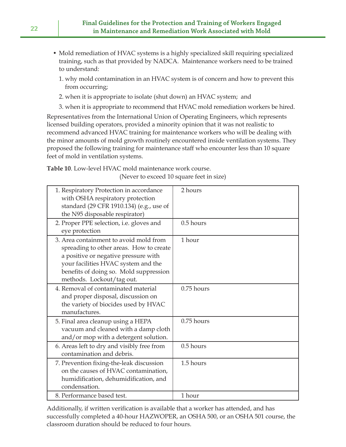- Mold remediation of HVAC systems is a highly specialized skill requiring specialized training, such as that provided by NADCA. Maintenance workers need to be trained to understand:
	- 1. why mold contamination in an HVAC system is of concern and how to prevent this from occurring;
	- 2. when it is appropriate to isolate (shut down) an HVAC system; and
	- 3. when it is appropriate to recommend that HVAC mold remediation workers be hired.

Representatives from the International Union of Operating Engineers, which represents licensed building operators, provided a minority opinion that it was not realistic to recommend advanced HVAC training for maintenance workers who will be dealing with the minor amounts of mold growth routinely encountered inside ventilation systems. They proposed the following training for maintenance staff who encounter less than 10 square feet of mold in ventilation systems.

**Table 10**. Low-level HVAC mold maintenance work course.

(Never to exceed 10 square feet in size)

| 1. Respiratory Protection in accordance<br>with OSHA respiratory protection<br>standard (29 CFR 1910.134) (e.g., use of<br>the N95 disposable respirator)                                                                               | 2 hours      |
|-----------------------------------------------------------------------------------------------------------------------------------------------------------------------------------------------------------------------------------------|--------------|
| 2. Proper PPE selection, i.e. gloves and<br>eye protection                                                                                                                                                                              | $0.5$ hours  |
| 3. Area containment to avoid mold from<br>spreading to other areas. How to create<br>a positive or negative pressure with<br>your facilities HVAC system and the<br>benefits of doing so. Mold suppression<br>methods. Lockout/tag out. | 1 hour       |
| 4. Removal of contaminated material<br>and proper disposal, discussion on<br>the variety of biocides used by HVAC<br>manufactures.                                                                                                      | $0.75$ hours |
| 5. Final area cleanup using a HEPA<br>vacuum and cleaned with a damp cloth<br>and/or mop with a detergent solution.                                                                                                                     | $0.75$ hours |
| 6. Areas left to dry and visibly free from<br>contamination and debris.                                                                                                                                                                 | $0.5$ hours  |
| 7. Prevention fixing-the-leak discussion<br>on the causes of HVAC contamination,<br>humidification, dehumidification, and<br>condensation.                                                                                              | 1.5 hours    |
| 8. Performance based test.                                                                                                                                                                                                              | 1 hour       |

Additionally, if written verification is available that a worker has attended, and has successfully completed a 40-hour HAZWOPER, an OSHA 500, or an OSHA 501 course, the classroom duration should be reduced to four hours.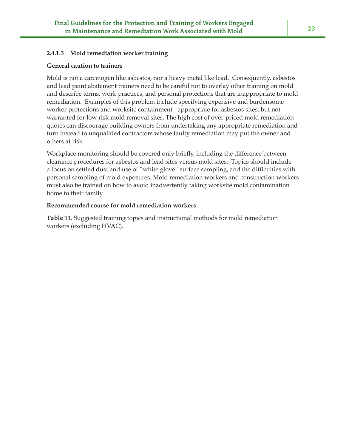#### **2.4.1.3 Mold remediation worker training**

#### **General caution to trainers**

Mold is not a carcinogen like asbestos, nor a heavy metal like lead. Consequently, asbestos and lead paint abatement trainers need to be careful not to overlay other training on mold and describe terms, work practices, and personal protections that are inappropriate to mold remediation. Examples of this problem include specifying expensive and burdensome worker protections and worksite containment - appropriate for asbestos sites, but not warranted for low risk mold removal sites. The high cost of over-priced mold remediation quotes can discourage building owners from undertaking any appropriate remediation and turn instead to unqualified contractors whose faulty remediation may put the owner and others at risk.

Workplace monitoring should be covered only briefly, including the difference between clearance procedures for asbestos and lead sites versus mold sites. Topics should include a focus on settled dust and use of "white glove" surface sampling, and the difficulties with personal sampling of mold exposures. Mold remediation workers and construction workers must also be trained on how to avoid inadvertently taking worksite mold contamination home to their family.

#### **Recommended course for mold remediation workers**

**Table 11**. Suggested training topics and instructional methods for mold remediation workers (excluding HVAC).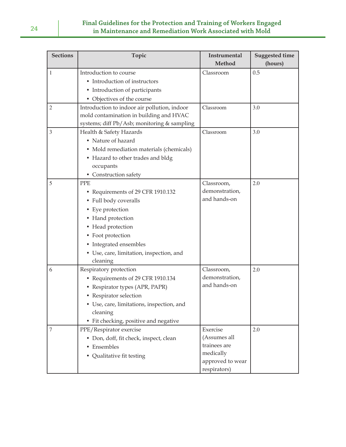| <b>Sections</b> | Topic                                        | Instrumental     | <b>Suggested time</b> |
|-----------------|----------------------------------------------|------------------|-----------------------|
|                 |                                              | Method           | (hours)               |
| 1               | Introduction to course                       | Classroom        | 0.5                   |
|                 | • Introduction of instructors                |                  |                       |
|                 | • Introduction of participants               |                  |                       |
|                 | • Objectives of the course                   |                  |                       |
| $\mathfrak{2}$  | Introduction to indoor air pollution, indoor | Classroom        | 3.0                   |
|                 | mold contamination in building and HVAC      |                  |                       |
|                 | systems; diff Pb/Asb; monitoring & sampling  |                  |                       |
| $\overline{3}$  | Health & Safety Hazards                      | Classroom        | 3.0                   |
|                 | • Nature of hazard                           |                  |                       |
|                 | • Mold remediation materials (chemicals)     |                  |                       |
|                 | • Hazard to other trades and bldg            |                  |                       |
|                 | occupants                                    |                  |                       |
|                 | • Construction safety                        |                  |                       |
| 5               | <b>PPE</b>                                   | Classroom,       | 2.0                   |
|                 | • Requirements of 29 CFR 1910.132            | demonstration,   |                       |
|                 | • Full body coveralls                        | and hands-on     |                       |
|                 | • Eye protection                             |                  |                       |
|                 | • Hand protection                            |                  |                       |
|                 | • Head protection                            |                  |                       |
|                 | • Foot protection                            |                  |                       |
|                 | • Integrated ensembles                       |                  |                       |
|                 | • Use, care, limitation, inspection, and     |                  |                       |
|                 | cleaning                                     |                  |                       |
| 6               | Respiratory protection                       | Classroom,       | 2.0                   |
|                 | • Requirements of 29 CFR 1910.134            | demonstration,   |                       |
|                 | • Respirator types (APR, PAPR)               | and hands-on     |                       |
|                 | • Respirator selection                       |                  |                       |
|                 | Use, care, limitations, inspection, and      |                  |                       |
|                 | cleaning                                     |                  |                       |
|                 | • Fit checking, positive and negative        |                  |                       |
| 7               | PPE/Respirator exercise                      | Exercise         | 2.0                   |
|                 | · Don, doff, fit check, inspect, clean       | (Assumes all     |                       |
|                 | • Ensembles                                  | trainees are     |                       |
|                 | • Qualitative fit testing                    | medically        |                       |
|                 |                                              | approved to wear |                       |
|                 |                                              | respirators)     |                       |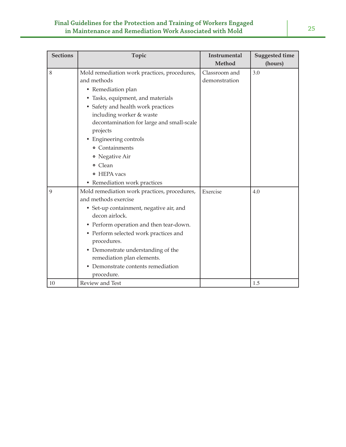| <b>Sections</b> | Topic                                        | <b>Instrumental</b><br><b>Method</b> | <b>Suggested time</b> |
|-----------------|----------------------------------------------|--------------------------------------|-----------------------|
|                 |                                              |                                      | (hours)               |
| 8               | Mold remediation work practices, procedures, | Classroom and                        | 3.0                   |
|                 | and methods                                  | demonstration                        |                       |
|                 | • Remediation plan                           |                                      |                       |
|                 | • Tasks, equipment, and materials            |                                      |                       |
|                 | • Safety and health work practices           |                                      |                       |
|                 | including worker & waste                     |                                      |                       |
|                 | decontamination for large and small-scale    |                                      |                       |
|                 | projects                                     |                                      |                       |
|                 | Engineering controls                         |                                      |                       |
|                 | • Containments                               |                                      |                       |
|                 | • Negative Air                               |                                      |                       |
|                 | o Clean                                      |                                      |                       |
|                 | • HEPA vacs                                  |                                      |                       |
|                 | • Remediation work practices                 |                                      |                       |
| 9               | Mold remediation work practices, procedures, | Exercise                             | 4.0                   |
|                 | and methods exercise                         |                                      |                       |
|                 | • Set-up containment, negative air, and      |                                      |                       |
|                 | decon airlock.                               |                                      |                       |
|                 | • Perform operation and then tear-down.      |                                      |                       |
|                 | • Perform selected work practices and        |                                      |                       |
|                 | procedures.                                  |                                      |                       |
|                 | • Demonstrate understanding of the           |                                      |                       |
|                 | remediation plan elements.                   |                                      |                       |
|                 | • Demonstrate contents remediation           |                                      |                       |
|                 | procedure.                                   |                                      |                       |
| 10              | Review and Test                              |                                      | 1.5                   |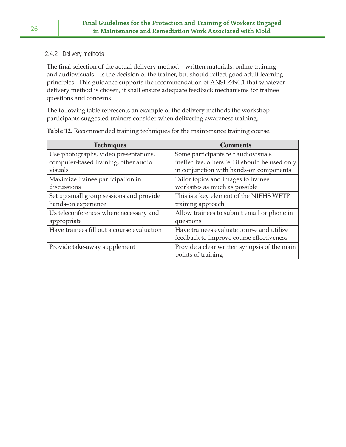### 2.4.2 Delivery methods

The final selection of the actual delivery method - written materials, online training, and audiovisuals - is the decision of the trainer, but should reflect good adult learning principles. This guidance supports the recommendation of ANSI Z490.1 that whatever delivery method is chosen, it shall ensure adequate feedback mechanisms for trainee questions and concerns.

The following table represents an example of the delivery methods the workshop participants suggested trainers consider when delivering awareness training.

| <b>Techniques</b>                          | <b>Comments</b>                                 |
|--------------------------------------------|-------------------------------------------------|
| Use photographs, video presentations,      | Some participants felt audiovisuals             |
| computer-based training, other audio       | ineffective, others felt it should be used only |
| visuals                                    | in conjunction with hands-on components         |
| Maximize trainee participation in          | Tailor topics and images to trainee             |
| discussions                                | worksites as much as possible                   |
| Set up small group sessions and provide    | This is a key element of the NIEHS WETP         |
| hands-on experience                        | training approach                               |
| Us teleconferences where necessary and     | Allow trainees to submit email or phone in      |
| appropriate                                | questions                                       |
| Have trainees fill out a course evaluation | Have trainees evaluate course and utilize       |
|                                            | feedback to improve course effectiveness        |
| Provide take-away supplement               | Provide a clear written synopsis of the main    |
|                                            | points of training                              |

**Table 12**. Recommended training techniques for the maintenance training course.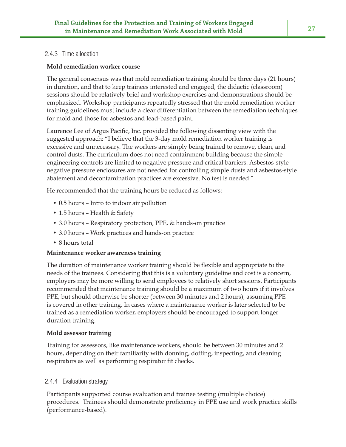### 2.4.3 Time allocation

### **Mold remediation worker course**

The general consensus was that mold remediation training should be three days (21 hours) in duration, and that to keep trainees interested and engaged, the didactic (classroom) sessions should be relatively brief and workshop exercises and demonstrations should be emphasized. Workshop participants repeatedly stressed that the mold remediation worker training guidelines must include a clear differentiation between the remediation techniques for mold and those for asbestos and lead-based paint.

Laurence Lee of Argus Pacific, Inc. provided the following dissenting view with the suggested approach: "I believe that the 3-day mold remediation worker training is excessive and unnecessary. The workers are simply being trained to remove, clean, and control dusts. The curriculum does not need containment building because the simple engineering controls are limited to negative pressure and critical barriers. Asbestos-style negative pressure enclosures are not needed for controlling simple dusts and asbestos-style abatement and decontamination practices are excessive. No test is needed."

He recommended that the training hours be reduced as follows:

- 0.5 hours Intro to indoor air pollution
- 1.5 hours Health & Safety
- 3.0 hours Respiratory protection, PPE, & hands-on practice
- 3.0 hours Work practices and hands-on practice
- 8 hours total

### **Maintenance worker awareness training**

The duration of maintenance worker training should be flexible and appropriate to the needs of the trainees. Considering that this is a voluntary guideline and cost is a concern, employers may be more willing to send employees to relatively short sessions. Participants recommended that maintenance training should be a maximum of two hours if it involves PPE, but should otherwise be shorter (between 30 minutes and 2 hours), assuming PPE is covered in other training. In cases where a maintenance worker is later selected to be trained as a remediation worker, employers should be encouraged to support longer duration training.

### **Mold assessor training**

Training for assessors, like maintenance workers, should be between 30 minutes and 2 hours, depending on their familiarity with donning, doffing, inspecting, and cleaning respirators as well as performing respirator fit checks.

## 2.4.4 Evaluation strategy

Participants supported course evaluation and trainee testing (multiple choice) procedures. Trainees should demonstrate proficiency in PPE use and work practice skills (performance-based).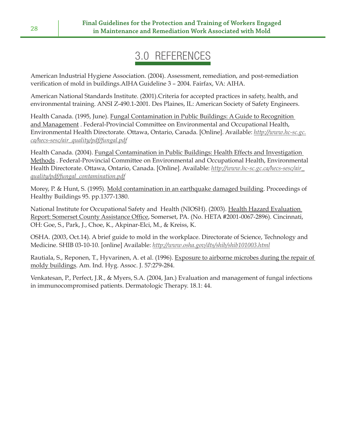# 3.0 REFERENCES

American Industrial Hygiene Association. (2004). Assessment, remediation, and post-remediation verification of mold in buildings. AIHA Guideline 3 - 2004. Fairfax, VA: AIHA.

American National Standards Institute. (2001).Criteria for accepted practices in safety, health, and environmental training. ANSI Z-490.1-2001. Des Plaines, IL: American Society of Safety Engineers.

Health Canada. (1995, June). Fungal Contamination in Public Buildings: A Guide to Recognition and Management . Federal-Provincial Committee on Environmental and Occupational Health, Environmental Health Directorate. Ottawa, Ontario, Canada. [Online]. Available: *http://www.hc-sc.gc. ca/hecs-sesc/air\_quality/pdf/fungal.pdf*

Health Canada. (2004). Fungal Contamination in Public Buildings: Health Effects and Investigation Methods . Federal-Provincial Committee on Environmental and Occupational Health, Environmental Health Directorate. Ottawa, Ontario, Canada. [Online]. Available: *http://www.hc-sc.gc.ca/hecs-sesc/air\_ quality/pdf/fungal\_contamination.pdf*

Morey, P. & Hunt, S. (1995). Mold contamination in an earthquake damaged building. Proceedings of Healthy Buildings 95. pp.1377-1380.

National Institute for Occupational Safety and Health (NIOSH). (2003). Health Hazard Evaluation Report: Somerset County Assistance Office, Somerset, PA. (No. HETA #2001-0067-2896). Cincinnati, OH: Goe, S., Park, J., Choe, K., Akpinar-Elci, M., & Kreiss, K.

OSHA. (2003, Oct.14). A brief guide to mold in the workplace. Directorate of Science, Technology and Medicine. SHIB 03-10-10. [online] Available: *http://www.osha.gov/dts/shib/shib101003.html*

Rautiala, S., Reponen, T., Hyvarinen, A. et al. (1996). Exposure to airborne microbes during the repair of moldy buildings. Am. Ind. Hyg. Assoc. J. 57:279-284.

Venkatesan, P., Perfect, J.R., & Myers, S.A. (2004, Jan.) Evaluation and management of fungal infections in immunocompromised patients. Dermatologic Therapy. 18.1: 44.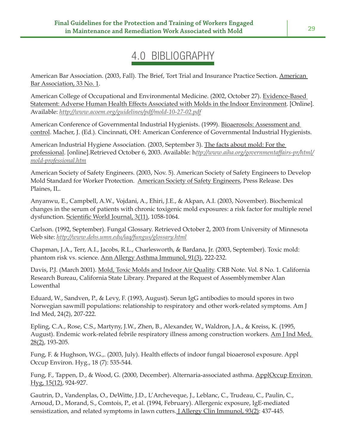# 4.0 BIBLIOGRAPHY

American Bar Association. (2003, Fall). The Brief, Tort Trial and Insurance Practice Section. American Bar Association, 33 No. 1.

American College of Occupational and Environmental Medicine. (2002, October 27). Evidence-Based Statement: Adverse Human Health Effects Associated with Molds in the Indoor Environment. [Online]. Available: *http://www.acoem.org/guidelines/pdf/mold-10-27-02.pdf*

American Conference of Governmental Industrial Hygienists. (1999). Bioaerosols: Assessment and control. Macher, J. (Ed.). Cincinnati, OH: American Conference of Governmental Industrial Hygienists.

American Industrial Hygiene Association. (2003, September 3). The facts about mold: For the professional. [online].Retrieved October 6, 2003. Available: h*ttp://www.aiha.org/governmentaffairs-pr/html/ mold-professional.htm*

American Society of Safety Engineers. (2003, Nov. 5). American Society of Safety Engineers to Develop Mold Standard for Worker Protection. American Society of Safety Engineers, Press Release. Des Plaines, IL.

Anyanwu, E., Campbell, A.W., Vojdani, A., Ehiri, J.E., & Akpan, A.I. (2003, November). Biochemical changes in the serum of patients with chronic toxigenic mold exposures: a risk factor for multiple renel dysfunction. Scientific World Journal, 3(11), 1058-1064.

Carlson. (1992, September). Fungal Glossary. Retrieved October 2, 2003 from University of Minnesota Web site: *http://www.dehs.umn.edu/iaq/fungus/glossary.html*

Chapman, J.A., Terr, A.I., Jacobs, R.L., Charlesworth, & Bardana, Jr. (2003, September). Toxic mold: phantom risk vs. science. Ann Allergy Asthma Immunol, 91(3), 222-232.

Davis, P.J. (March 2001). Mold, Toxic Molds and Indoor Air Quality. CRB Note. Vol. 8 No. 1. California Research Bureau, California State Library. Prepared at the Request of Assemblymember Alan Lowenthal

Eduard, W., Sandven, P., & Levy, F. (1993, August). Serun IgG antibodies to mould spores in two Norwegian sawmill populations: relationship to respiratory and other work-related symptoms. Am J Ind Med, 24(2), 207-222.

Epling, C.A., Rose, C.S., Martyny, J.W., Zhen, B., Alexander, W., Waldron, J.A., & Kreiss, K. (1995, August). Endemic work-related febrile respiratory illness among construction workers. Am J Ind Med, 28(2), 193-205.

Fung, F. & Hughson, W.G.,. (2003, July). Health effects of indoor fungal bioaerosol exposure. Appl Occup Environ. Hyg., 18 (7): 535-544.

Fung, F., Tappen, D., & Wood, G. (2000, December). Alternaria-associated asthma. ApplOccup Environ Hyg, 15(12), 924-927.

Gautrin, D., Vandenplas, O., DeWitte, J.D., L'Archeveque, J., Leblanc, C., Trudeau, C., Paulin, C., Arnoud, D., Morand, S., Comtois, P., et al. (1994, February). Allergenic exposure, IgE-mediated sensistization, and related symptoms in lawn cutters. J Allergy Clin Immunol, 93(2): 437-445.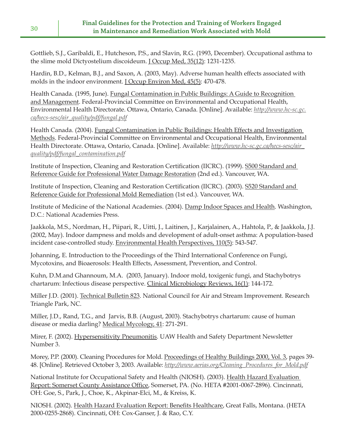Gottlieb, S.J., Garibaldi, E., Hutcheson, P.S., and Slavin, R.G. (1993, December). Occupational asthma to the slime mold Dictyostelium discoideum. J Occup Med, 35(12): 1231-1235.

Hardin, B.D., Kelman, B.J., and Saxon, A. (2003, May). Adverse human health effects associated with molds in the indoor environment. J Occup Environ Med, 45(5): 470-478.

Health Canada. (1995, June). Fungal Contamination in Public Buildings: A Guide to Recognition and Management. Federal-Provincial Committee on Environmental and Occupational Health, Environmental Health Directorate. Ottawa, Ontario, Canada. [Online]. Available: *http://www.hc-sc.gc. ca/hecs-sesc/air\_quality/pdf/fungal.pdf*

Health Canada. (2004). Fungal Contamination in Public Buildings: Health Effects and Investigation Methods. Federal-Provincial Committee on Environmental and Occupational Health, Environmental Health Directorate. Ottawa, Ontario, Canada. [Online]. Available: *http://www.hc-sc.gc.ca/hecs-sesc/air\_ quality/pdf/fungal\_contamination.pdf*

Institute of Inspection, Cleaning and Restoration Certification (IICRC). (1999). S500 Standard and Reference Guide for Professional Water Damage Restoration (2nd ed.). Vancouver, WA.

Institute of Inspection, Cleaning and Restoration Certification (IICRC). (2003). S520 Standard and Reference Guide for Professional Mold Remediation (1st ed.). Vancouver, WA.

Institute of Medicine of the National Academies. (2004). Damp Indoor Spaces and Health. Washington, D.C.: National Academies Press.

Jaakkola, M.S., Nordman, H., Piipari, R., Uitti, J., Laitinen, J., Karjalainen, A., Hahtola, P., & Jaakkola, J.J. (2002, May). Indoor dampness and molds and development of adult-onset asthma: A population-based incident case-controlled study. Environmental Health Perspectives, 110(5): 543-547.

Johanning, E. Introduction to the Proceedings of the Third International Conference on Fungi, Mycotoxins, and Bioaerosols: Health Effects, Assessment, Prevention, and Control.

Kuhn, D.M.and Ghannoum, M.A. (2003, January). Indoor mold, toxigenic fungi, and Stachybotrys chartarum: Infectious disease perspective. Clinical Microbiology Reviews, 16(1): 144-172.

Miller J.D. (2001). Technical Bulletin 823. National Council for Air and Stream Improvement. Research Triangle Park, NC.

Miller, J.D., Rand, T.G., and Jarvis, B.B. (August, 2003). Stachybotrys chartarum: cause of human disease or media darling? Medical Mycology, 41: 271-291.

Mirer, F. (2002). Hypersensitivity Pneumonitis. UAW Health and Safety Department Newsletter Number 3.

Morey, P.P. (2000). Cleaning Procedures for Mold. Proceedings of Healthy Buildings 2000, Vol. 3, pages 39- 48. [Online]. Retrieved October 3, 2003. Available: *http://www.aerias.org/Cleaning\_Procedures\_for\_Mold.pdf*

National Institute for Occupational Safety and Health (NIOSH). (2003). Health Hazard Evaluation Report: Somerset County Assistance Office, Somerset, PA. (No. HETA #2001-0067-2896). Cincinnati, OH: Goe, S., Park, J., Choe, K., Akpinar-Elci, M., & Kreiss, K.

NIOSH. (2002). Health Hazard Evaluation Report: Benefits Healthcare, Great Falls, Montana. (HETA 2000-0255-2868). Cincinnati, OH: Cox-Ganser, J. & Rao, C.Y.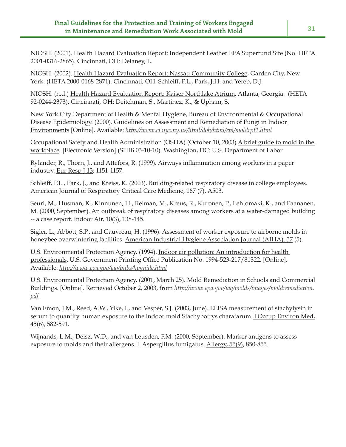NIOSH. (2001). Health Hazard Evaluation Report: Independent Leather EPA Superfund Site (No. HETA 2001-0316-2865). Cincinnati, OH: Delaney, L.

NIOSH. (2002). Health Hazard Evaluation Report: Nassau Community College, Garden City, New York. (HETA 2000-0168-2871). Cincinnati, OH: Schleiff, P.L., Park, J.H. and Yereb, D.J.

NIOSH. (n.d.) Health Hazard Evaluation Report: Kaiser Northlake Atrium, Atlanta, Georgia. (HETA 92-0244-2373). Cincinnati, OH: Deitchman, S., Martinez, K., & Upham, S.

New York City Department of Health & Mental Hygiene, Bureau of Environmental & Occupational Disease Epidemiology. (2000). Guidelines on Assessment and Remediation of Fungi in Indoor Environments [Online]. Available: *http://www.ci.nyc.ny.us/html/doh/html/epi/moldrpt1.html*

Occupational Safety and Health Administration (OSHA).(October 10, 2003) A brief guide to mold in the workplace. [Electronic Version] (SHIB 03-10-10). Washington, DC: U.S. Department of Labor.

Rylander, R., Thorn, J., and Attefors, R. (1999). Airways inflammation among workers in a paper industry. Eur Resp J 13: 1151-1157.

Schleiff, P.L., Park, J., and Kreiss, K. (2003). Building-related respiratory disease in college employees. American Journal of Respiratory Critical Care Medicine, 167 (7), A503.

Seuri, M., Husman, K., Kinnunen, H., Reiman, M., Kreus, R., Kuronen, P., Lehtomaki, K., and Paananen, M. (2000, September). An outbreak of respiratory diseases among workers at a water-damaged building -- a case report. Indoor Air, 10(3), 138-145.

Sigler, L., Abbott, S.P., and Gauvreau, H. (1996). Assessment of worker exposure to airborne molds in honeybee overwintering facilities. American Industrial Hygiene Association Journal (AIHA). 57 (5).

U.S. Environmental Protection Agency. (1994). Indoor air pollution: An introduction for health professionals. U.S. Government Printing Office Publication No. 1994-523-217/81322. [Online]. Available: *http://www.epa.gov/iaq/pubs/hpguide.html*

U.S. Environmental Protection Agency. (2001, March 25). Mold Remediation in Schools and Commercial Buildings. [Online]. Retrieved October 2, 2003, from *http://www.epa.gov/iaq/molds/images/moldremediation. pdf*

Van Emon, J.M., Reed, A.W., Yike, I., and Vesper, S.J. (2003, June). ELISA measurement of stachylysin in serum to quantify human exposure to the indoor mold Stachybotrys charatarum. J Occup Environ Med, 45(6), 582-591.

Wijnands, L.M., Deisz, W.D., and van Leusden, F.M. (2000, September). Marker antigens to assess exposure to molds and their allergens. I. Aspergillus fumigatus. Allergy, 55(9), 850-855.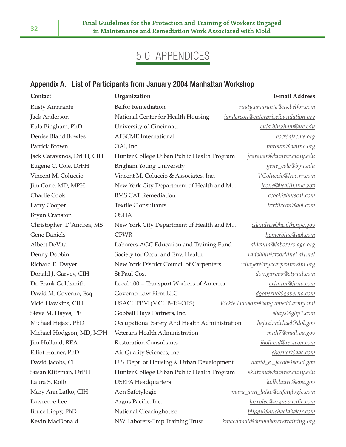# 5.0 APPENDICES

## Appendix A. List of Participants from January 2004 Manhattan Workshop

| Contact                   | Organization                                  | <b>E-mail Address</b>              |
|---------------------------|-----------------------------------------------|------------------------------------|
| <b>Rusty Amarante</b>     | <b>Belfor Remediation</b>                     | rusty.amarante@us.belfor.com       |
| Jack Anderson             | National Center for Health Housing            | janderson@enterprisefoundation.org |
| Eula Bingham, PhD         | University of Cincinnati                      | eula.bingham@uc.edu                |
| Denise Bland Bowles       | <b>AFSCME</b> International                   | boc@afscme.org                     |
| Patrick Brown             | OAI, Inc.                                     | pbrown@oaiinc.org                  |
| Jack Caravanos, DrPH, CIH | Hunter College Urban Public Health Program    | jcaravan@hunter.cuny.edu           |
| Eugene C. Cole, DrPH      | Brigham Young University                      | gene_cole@byu.edu                  |
| Vincent M. Coluccio       | Vincent M. Coluccio & Associates, Inc.        | VColuccio@hvc.rr.com               |
| Jim Cone, MD, MPH         | New York City Department of Health and M      | jcone@health.nyc.gov               |
| Charlie Cook              | <b>BMS CAT Remediation</b>                    | ccook@bmscat.com                   |
| Larry Cooper              | Textile C onsultants                          | textilecon@aol.com                 |
| <b>Bryan Cranston</b>     | <b>OSHA</b>                                   |                                    |
| Christopher D'Andrea, MS  | New York City Department of Health and M      | cdandrea@health.nyc.gov            |
| <b>Gene Daniels</b>       | <b>CPWR</b>                                   | homerblue@aol.com                  |
| Albert DeVita             | Laborers-AGC Education and Training Fund      | aldevita@laborers-agc.org          |
| Denny Dobbin              | Society for Occu. and Env. Health             | rddobbin@worldnet.att.net          |
| Richard E. Dwyer          | New York District Council of Carpenters       | rdwyer@nyccarpenterslm.org         |
| Donald J. Garvey, CIH     | St Paul Cos.                                  | don.garvey@stpaul.com              |
| Dr. Frank Goldsmith       | Local 100 -- Transport Workers of America     | crinum@juno.com                    |
| David M. Governo, Esq.    | Governo Law Firm LLC                          | dgoverno@governo.com               |
| Vicki Hawkins, CIH        | USACHPPM (MCHB-TS-OFS)                        | Vickie.Hawkins@apg.amedd.army.mil  |
| Steve M. Hayes, PE        | Gobbell Hays Partners, Inc.                   | shays@ghp1.com                     |
| Michael Hejazi, PhD       | Occupational Safety And Health Administration | hejazi.michael@dol.gov             |
| Michael Hodgson, MD, MPH  | Veterans Health Administration                | muh7@mail.va.gov                   |
| Jim Holland, REA          | <b>Restoration Consultants</b>                | jholland@restcon.com               |
| Elliot Horner, PhD        | Air Quality Sciences, Inc.                    | ehorner@ags.com                    |
| David Jacobs, CIH         | U.S. Dept. of Housing & Urban Development     | david e. jacobs@hud.gov            |
| Susan Klitzman, DrPH      | Hunter College Urban Public Health Program    | sklitzma@hunter.cuny.edu           |
| Laura S. Kolb             | <b>USEPA Headquarters</b>                     | kolb.laura@epa.gov                 |
| Mary Ann Latko, CIH       | Aon Safetylogic                               | mary ann latko@safetylogic.com     |
| Lawrence Lee              | Argus Pacific, Inc.                           | larrylee@arguspacific.com          |
| Bruce Lippy, PhD          | National Clearinghouse                        | blippy@michaeldbaker.com           |
| Kevin MacDonald           | NW Laborers-Emp Training Trust                | kmacdonald@nwlaborerstraining.org  |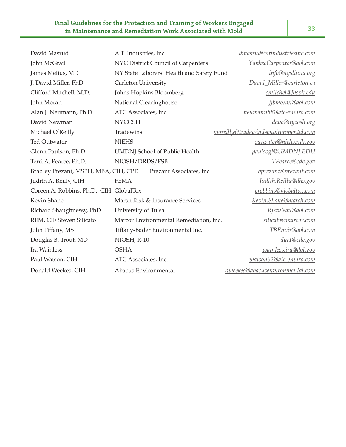#### **Final Guidelines for the Protection and Training of Workers Engaged in Maintenance and Remediation Work Associated with Mold 33**

| David Masrud                            | A.T. Industries, Inc.                     | dmasrud@atindustriesinc.com          |
|-----------------------------------------|-------------------------------------------|--------------------------------------|
| John McGrail                            | NYC District Council of Carpenters        | YankeeCarpenter@aol.com              |
| James Melius, MD                        | NY State Laborers' Health and Safety Fund | info@nysliuna.org                    |
| J. David Miller, PhD                    | Carleton University                       | David_Miller@carleton.ca             |
| Clifford Mitchell, M.D.                 | Johns Hopkins Bloomberg                   | cmitchel@jhsph.edu                   |
| John Moran                              | National Clearinghouse                    | jjbmoran@aol.com                     |
| Alan J. Neumann, Ph.D.                  | ATC Associates, Inc.                      | neumann88@atc-enviro.com             |
| David Newman                            | <b>NYCOSH</b>                             | dave@nycosh.org                      |
| Michael O'Reilly                        | Tradewins                                 | moreilly@tradewindsenvironmental.com |
| <b>Ted Outwater</b>                     | <b>NIEHS</b>                              | outwater@niehs.nih.gov               |
| Glenn Paulson, Ph.D.                    | <b>UMDNJ</b> School of Public Health      | paulsogl@UMDNJ.EDU                   |
| Terri A. Pearce, Ph.D.                  | NIOSH/DRDS/FSB                            | TPearce@cdc.gov                      |
| Bradley Prezant, MSPH, MBA, CIH, CPE    | Prezant Associates, Inc.                  | bprezant@prezant.com                 |
| Judith A. Reilly, CIH                   | <b>FEMA</b>                               | Judith.Reilly@dhs.gov                |
| Coreen A. Robbins, Ph.D., CIH GlobalTox |                                           | crobbins@globaltox.com               |
| Kevin Shane                             | Marsh Risk & Insurance Services           | Kevin.Shane@marsh.com                |
| Richard Shaughnessy, PhD                | University of Tulsa                       | Rjstulsau@aol.com                    |
| REM, CIE Steven Silicato                | Marcor Environmental Remediation, Inc.    | silicato@marcor.com                  |
| John Tiffany, MS                        | Tiffany-Bader Environmental Inc.          | TBEnvir@aol.com                      |
| Douglas B. Trout, MD                    | NIOSH, R-10                               | dyt1@cdc.gov                         |
| Ira Wainless                            | <b>OSHA</b>                               | wainless.ira@dol.gov                 |
| Paul Watson, CIH                        | ATC Associates, Inc.                      | watson62@atc-enviro.com              |
| Donald Weekes, CIH                      | Abacus Environmental                      | dweekes@abacusenvironmental.com      |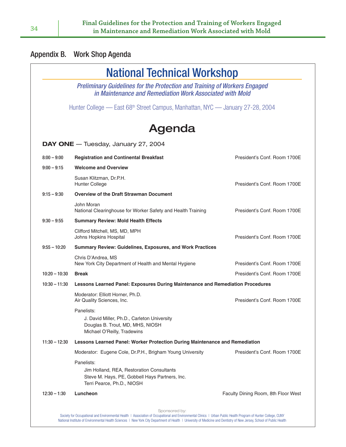|                 | <b>National Technical Workshop</b>                                                                                                      |                                     |  |
|-----------------|-----------------------------------------------------------------------------------------------------------------------------------------|-------------------------------------|--|
|                 | Preliminary Guidelines for the Protection and Training of Workers Engaged<br>in Maintenance and Remediation Work Associated with Mold   |                                     |  |
|                 | Hunter College — East 68 <sup>th</sup> Street Campus, Manhattan, NYC — January 27-28, 2004                                              |                                     |  |
|                 | Agenda                                                                                                                                  |                                     |  |
|                 | DAY ONE - Tuesday, January 27, 2004                                                                                                     |                                     |  |
| $8:00 - 9:00$   | <b>Registration and Continental Breakfast</b>                                                                                           | President's Conf. Room 1700E        |  |
| $9:00 - 9:15$   | <b>Welcome and Overview</b>                                                                                                             |                                     |  |
|                 | Susan Klitzman, Dr.P.H.<br><b>Hunter College</b>                                                                                        | President's Conf. Room 1700E        |  |
| $9:15 - 9:30$   | <b>Overview of the Draft Strawman Document</b>                                                                                          |                                     |  |
|                 | John Moran<br>National Clearinghouse for Worker Safety and Health Training                                                              | President's Conf. Room 1700E        |  |
| $9:30 - 9:55$   | <b>Summary Review: Mold Health Effects</b>                                                                                              |                                     |  |
|                 | Clifford Mitchell, MS, MD, MPH<br>Johns Hopkins Hospital                                                                                | President's Conf. Room 1700E        |  |
| $9:55 - 10:20$  | Summary Review: Guidelines, Exposures, and Work Practices                                                                               |                                     |  |
|                 | Chris D'Andrea, MS<br>New York City Department of Health and Mental Hygiene                                                             | President's Conf. Room 1700E        |  |
| $10:20 - 10:30$ | <b>Break</b>                                                                                                                            | President's Conf. Room 1700E        |  |
| $10:30 - 11:30$ | Lessons Learned Panel: Exposures During Maintenance and Remediation Procedures                                                          |                                     |  |
|                 | Moderator: Elliott Horner, Ph.D.<br>Air Quality Sciences, Inc.                                                                          | President's Conf. Room 1700E        |  |
|                 | Panelists:<br>J. David Miller, Ph.D., Carleton University<br>Douglas B. Trout, MD, MHS, NIOSH<br>Michael O'Reilly, Tradewins            |                                     |  |
| $11:30 - 12:30$ | Lessons Learned Panel: Worker Protection During Maintenance and Remediation                                                             |                                     |  |
|                 | Moderator: Eugene Cole, Dr.P.H., Brigham Young University                                                                               | President's Conf. Room 1700E        |  |
|                 | Panelists:<br>Jim Holland, REA, Restoration Consultants<br>Steve M. Hays, PE, Gobbell Hays Partners, Inc.<br>Terri Pearce, Ph.D., NIOSH |                                     |  |
| $12:30 - 1:30$  | Luncheon                                                                                                                                | Faculty Dining Room, 8th Floor West |  |

Society for Occupational and Environmental Health | Association of Occupational and Environmental Clinics | Urban Public Health Program of Hunter College, CUNY National Institute of Environmental Health Sciences | New York City Department of Health | University of Medicine and Dentistry of New Jersey, School of Public Health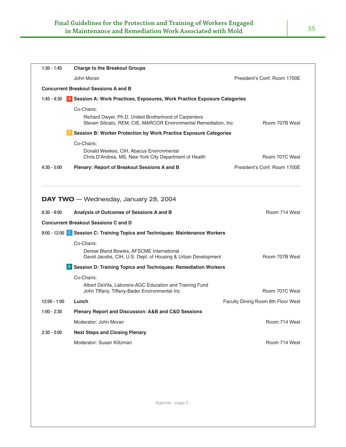| John Moran<br><b>Concurrent Breakout Sessions A and B</b><br>$1:45 - 4:30$<br>A Session A: Work Practices, Exposures, Work Practice Exposure Categories<br>Co-Chairs:<br>Richard Dwyer, Ph.D. United Brotherhood of Carpenters<br>Steven Silicato, REM, CIE, MARCOR Environmental Remediation, Inc.<br>Session B: Worker Protection by Work Practice Exposure Categories<br>Co-Chairs:<br>Donald Weekes, CIH, Abacus Environmental<br>Chris D'Andrea, MS, New York City Department of Health<br>$4:30 - 5:00$<br><b>Plenary: Report of Breakout Sessions A and B</b><br>DAY TWO - Wednesday, January 28, 2004<br>Analysis of Outcomes of Sessions A and B<br>$8:30 - 9:00$<br><b>Concurrent Breakout Sessions C and D</b><br>9:00 - 12:00 C Session C: Training Topics and Techniques: Maintenance Workers<br>Co-Chairs:<br>Denise Bland Bowles, AFSCME International<br>David Jacobs, CIH, U.S. Dept. of Housing & Urban Development<br><b>D</b> Session D: Training Topics and Techniques: Remediation Workers<br>Co-Chairs:<br>Albert DeVita, Laborers-AGC Education and Training Fund<br>John Tiffany, Tiffany-Bader Environmental Inc.<br>$12:00 - 1:00$<br>Lunch<br>Plenary Report and Discussion: A&B and C&D Sessions<br>$1:00 - 2:30$<br>Moderator: John Moran<br>$2:30 - 3:00$<br><b>Next Steps and Closing Plenary</b><br>Moderator: Susan Klitzman | $1:30 - 1:45$ | <b>Charge to the Breakout Groups</b> |                                    |  |
|----------------------------------------------------------------------------------------------------------------------------------------------------------------------------------------------------------------------------------------------------------------------------------------------------------------------------------------------------------------------------------------------------------------------------------------------------------------------------------------------------------------------------------------------------------------------------------------------------------------------------------------------------------------------------------------------------------------------------------------------------------------------------------------------------------------------------------------------------------------------------------------------------------------------------------------------------------------------------------------------------------------------------------------------------------------------------------------------------------------------------------------------------------------------------------------------------------------------------------------------------------------------------------------------------------------------------------------------------------------|---------------|--------------------------------------|------------------------------------|--|
|                                                                                                                                                                                                                                                                                                                                                                                                                                                                                                                                                                                                                                                                                                                                                                                                                                                                                                                                                                                                                                                                                                                                                                                                                                                                                                                                                                |               |                                      | President's Conf. Room 1700E       |  |
|                                                                                                                                                                                                                                                                                                                                                                                                                                                                                                                                                                                                                                                                                                                                                                                                                                                                                                                                                                                                                                                                                                                                                                                                                                                                                                                                                                |               |                                      |                                    |  |
|                                                                                                                                                                                                                                                                                                                                                                                                                                                                                                                                                                                                                                                                                                                                                                                                                                                                                                                                                                                                                                                                                                                                                                                                                                                                                                                                                                |               |                                      |                                    |  |
|                                                                                                                                                                                                                                                                                                                                                                                                                                                                                                                                                                                                                                                                                                                                                                                                                                                                                                                                                                                                                                                                                                                                                                                                                                                                                                                                                                |               |                                      | Room 707B West                     |  |
|                                                                                                                                                                                                                                                                                                                                                                                                                                                                                                                                                                                                                                                                                                                                                                                                                                                                                                                                                                                                                                                                                                                                                                                                                                                                                                                                                                |               |                                      |                                    |  |
|                                                                                                                                                                                                                                                                                                                                                                                                                                                                                                                                                                                                                                                                                                                                                                                                                                                                                                                                                                                                                                                                                                                                                                                                                                                                                                                                                                |               |                                      |                                    |  |
|                                                                                                                                                                                                                                                                                                                                                                                                                                                                                                                                                                                                                                                                                                                                                                                                                                                                                                                                                                                                                                                                                                                                                                                                                                                                                                                                                                |               |                                      | Room 707C West                     |  |
|                                                                                                                                                                                                                                                                                                                                                                                                                                                                                                                                                                                                                                                                                                                                                                                                                                                                                                                                                                                                                                                                                                                                                                                                                                                                                                                                                                |               |                                      | President's Conf. Room 1700E       |  |
|                                                                                                                                                                                                                                                                                                                                                                                                                                                                                                                                                                                                                                                                                                                                                                                                                                                                                                                                                                                                                                                                                                                                                                                                                                                                                                                                                                |               |                                      |                                    |  |
|                                                                                                                                                                                                                                                                                                                                                                                                                                                                                                                                                                                                                                                                                                                                                                                                                                                                                                                                                                                                                                                                                                                                                                                                                                                                                                                                                                |               |                                      | Room 714 West                      |  |
|                                                                                                                                                                                                                                                                                                                                                                                                                                                                                                                                                                                                                                                                                                                                                                                                                                                                                                                                                                                                                                                                                                                                                                                                                                                                                                                                                                |               |                                      |                                    |  |
|                                                                                                                                                                                                                                                                                                                                                                                                                                                                                                                                                                                                                                                                                                                                                                                                                                                                                                                                                                                                                                                                                                                                                                                                                                                                                                                                                                |               |                                      |                                    |  |
|                                                                                                                                                                                                                                                                                                                                                                                                                                                                                                                                                                                                                                                                                                                                                                                                                                                                                                                                                                                                                                                                                                                                                                                                                                                                                                                                                                |               |                                      |                                    |  |
|                                                                                                                                                                                                                                                                                                                                                                                                                                                                                                                                                                                                                                                                                                                                                                                                                                                                                                                                                                                                                                                                                                                                                                                                                                                                                                                                                                |               |                                      | Room 707B West                     |  |
|                                                                                                                                                                                                                                                                                                                                                                                                                                                                                                                                                                                                                                                                                                                                                                                                                                                                                                                                                                                                                                                                                                                                                                                                                                                                                                                                                                |               |                                      |                                    |  |
|                                                                                                                                                                                                                                                                                                                                                                                                                                                                                                                                                                                                                                                                                                                                                                                                                                                                                                                                                                                                                                                                                                                                                                                                                                                                                                                                                                |               |                                      |                                    |  |
|                                                                                                                                                                                                                                                                                                                                                                                                                                                                                                                                                                                                                                                                                                                                                                                                                                                                                                                                                                                                                                                                                                                                                                                                                                                                                                                                                                |               |                                      | Room 707C West                     |  |
|                                                                                                                                                                                                                                                                                                                                                                                                                                                                                                                                                                                                                                                                                                                                                                                                                                                                                                                                                                                                                                                                                                                                                                                                                                                                                                                                                                |               |                                      | Faculty Dining Room 8th Floor West |  |
|                                                                                                                                                                                                                                                                                                                                                                                                                                                                                                                                                                                                                                                                                                                                                                                                                                                                                                                                                                                                                                                                                                                                                                                                                                                                                                                                                                |               |                                      |                                    |  |
|                                                                                                                                                                                                                                                                                                                                                                                                                                                                                                                                                                                                                                                                                                                                                                                                                                                                                                                                                                                                                                                                                                                                                                                                                                                                                                                                                                |               |                                      | Room 714 West                      |  |
|                                                                                                                                                                                                                                                                                                                                                                                                                                                                                                                                                                                                                                                                                                                                                                                                                                                                                                                                                                                                                                                                                                                                                                                                                                                                                                                                                                |               |                                      |                                    |  |
|                                                                                                                                                                                                                                                                                                                                                                                                                                                                                                                                                                                                                                                                                                                                                                                                                                                                                                                                                                                                                                                                                                                                                                                                                                                                                                                                                                |               |                                      | Room 714 West                      |  |
|                                                                                                                                                                                                                                                                                                                                                                                                                                                                                                                                                                                                                                                                                                                                                                                                                                                                                                                                                                                                                                                                                                                                                                                                                                                                                                                                                                |               |                                      |                                    |  |
|                                                                                                                                                                                                                                                                                                                                                                                                                                                                                                                                                                                                                                                                                                                                                                                                                                                                                                                                                                                                                                                                                                                                                                                                                                                                                                                                                                |               |                                      |                                    |  |
|                                                                                                                                                                                                                                                                                                                                                                                                                                                                                                                                                                                                                                                                                                                                                                                                                                                                                                                                                                                                                                                                                                                                                                                                                                                                                                                                                                |               |                                      |                                    |  |
|                                                                                                                                                                                                                                                                                                                                                                                                                                                                                                                                                                                                                                                                                                                                                                                                                                                                                                                                                                                                                                                                                                                                                                                                                                                                                                                                                                |               |                                      |                                    |  |

Agenda - page 2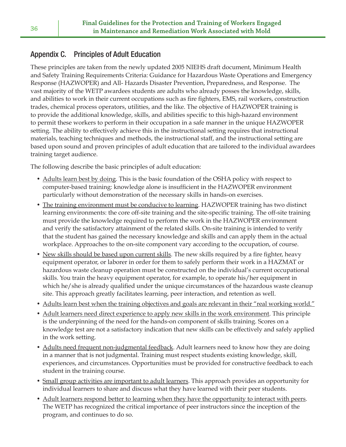## Appendix C. Principles of Adult Education

These principles are taken from the newly updated 2005 NIEHS draft document, Minimum Health and Safety Training Requirements Criteria: Guidance for Hazardous Waste Operations and Emergency Response (HAZWOPER) and All- Hazards Disaster Prevention, Preparedness, and Response. The vast majority of the WETP awardees students are adults who already posses the knowledge, skills, and abilities to work in their current occupations such as fire fighters, EMS, rail workers, construction trades, chemical process operators, utilities, and the like. The objective of HAZWOPER training is to provide the additional knowledge, skills, and abilities specific to this high-hazard environment to permit these workers to perform in their occupation in a safe manner in the unique HAZWOPER setting. The ability to effectively achieve this in the instructional setting requires that instructional materials, teaching techniques and methods, the instructional staff, and the instructional setting are based upon sound and proven principles of adult education that are tailored to the individual awardees training target audience.

The following describe the basic principles of adult education:

- Adults learn best by doing. This is the basic foundation of the OSHA policy with respect to computer-based training: knowledge alone is insufficient in the HAZWOPER environment particularly without demonstration of the necessary skills in hands-on exercises.
- The training environment must be conducive to learning. HAZWOPER training has two distinct learning environments: the core off-site training and the site-specific training. The off-site training must provide the knowledge required to perform the work in the HAZWOPER environment and verify the satisfactory attainment of the related skills. On-site training is intended to verify that the student has gained the necessary knowledge and skills and can apply them in the actual workplace. Approaches to the on-site component vary according to the occupation, of course.
- New skills should be based upon current skills. The new skills required by a fire fighter, heavy equipment operator, or laborer in order for them to safely perform their work in a HAZMAT or hazardous waste cleanup operation must be constructed on the individual's current occupational skills. You train the heavy equipment operator, for example, to operate his/her equipment in which he/she is already qualified under the unique circumstances of the hazardous waste cleanup site. This approach greatly facilitates learning, peer interaction, and retention as well.
- Adults learn best when the training objectives and goals are relevant in their "real working world."
- Adult learners need direct experience to apply new skills in the work environment. This principle is the underpinning of the need for the hands-on component of skills training. Scores on a knowledge test are not a satisfactory indication that new skills can be effectively and safely applied in the work setting.
- Adults need frequent non-judgmental feedback. Adult learners need to know how they are doing in a manner that is not judgmental. Training must respect students existing knowledge, skill, experiences, and circumstances. Opportunities must be provided for constructive feedback to each student in the training course.
- Small group activities are important to adult learners. This approach provides an opportunity for individual learners to share and discuss what they have learned with their peer students.
- Adult learners respond better to learning when they have the opportunity to interact with peers. The WETP has recognized the critical importance of peer instructors since the inception of the program, and continues to do so.